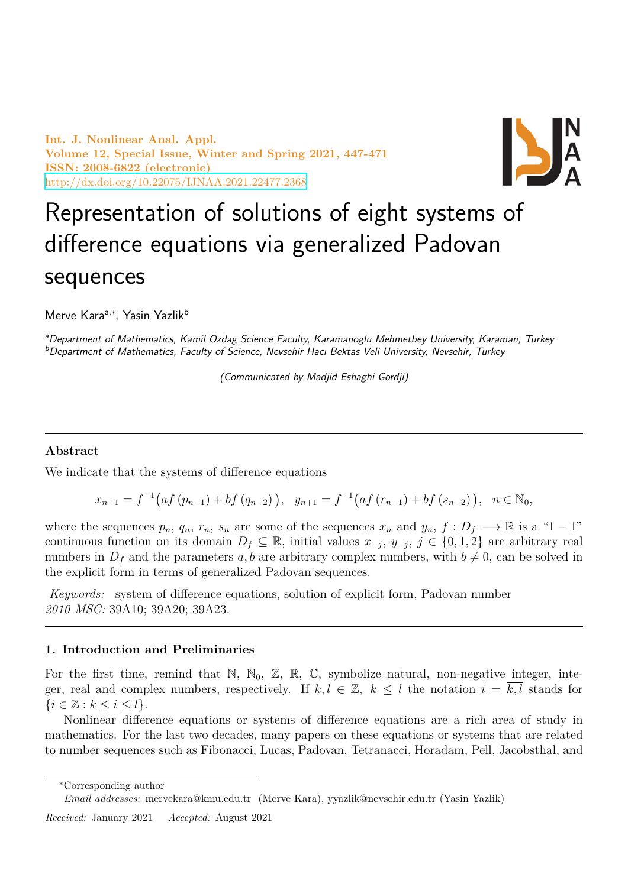**Int. J. Nonlinear Anal. Appl. Volume 12, Special Issue, Winter and Spring 2021, 447-471 ISSN: 2008-6822 (electronic)** http://dx.doi.org/10.22075/IJNAA.2021.22477.2368



# Representation of solutions of eight systems of [difference equations via ge](http://dx.doi.org/10.22075/IJNAA.2021.22477.2368)neralized Padovan sequences

Merve Karaa,*<sup>∗</sup>* , Yasin Yazlik<sup>b</sup>

*<sup>a</sup>Department of Mathematics, Kamil Ozdag Science Faculty, Karamanoglu Mehmetbey University, Karaman, Turkey <sup>b</sup>Department of Mathematics, Faculty of Science, Nevsehir Hacı Bektas Veli University, Nevsehir, Turkey*

*(Communicated by Madjid Eshaghi Gordji)*

## **Abstract**

We indicate that the systems of difference equations

$$
x_{n+1} = f^{-1}(af(p_{n-1}) + bf(q_{n-2})), y_{n+1} = f^{-1}(af(r_{n-1}) + bf(s_{n-2})), n \in \mathbb{N}_0,
$$

where the sequences  $p_n$ ,  $q_n$ ,  $r_n$ ,  $s_n$  are some of the sequences  $x_n$  and  $y_n$ ,  $f: D_f \longrightarrow \mathbb{R}$  is a "1 *−* 1" continuous function on its domain  $D_f \subseteq \mathbb{R}$ , initial values  $x_{-j}$ ,  $y_{-j}$ ,  $j \in \{0, 1, 2\}$  are arbitrary real numbers in  $D_f$  and the parameters  $a, b$  are arbitrary complex numbers, with  $b \neq 0$ , can be solved in the explicit form in terms of generalized Padovan sequences.

*Keywords:* system of difference equations, solution of explicit form, Padovan number *2010 MSC:* 39A10; 39A20; 39A23.

#### **1. Introduction and Preliminaries**

For the first time, remind that N, N<sub>0</sub>, Z, R, C, symbolize natural, non-negative integer, integer, real and complex numbers, respectively. If  $k, l \in \mathbb{Z}$ ,  $k \leq l$  the notation  $i = k, l$  stands for  $\{i \in \mathbb{Z} : k \leq i \leq l\}.$ 

Nonlinear difference equations or systems of difference equations are a rich area of study in mathematics. For the last two decades, many papers on these equations or systems that are related to number sequences such as Fibonacci, Lucas, Padovan, Tetranacci, Horadam, Pell, Jacobsthal, and

*<sup>∗</sup>*Corresponding author

*Email addresses:* mervekara@kmu.edu.tr (Merve Kara), yyazlik@nevsehir.edu.tr (Yasin Yazlik)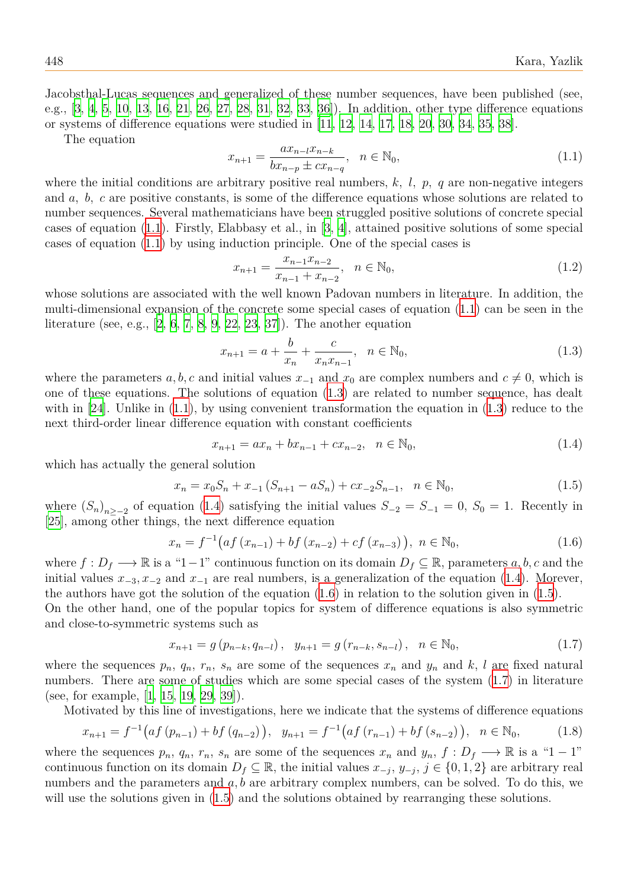Jacobsthal-Lucas sequences and generalized of these number sequences, have been published (see, e.g., [3, 4, 5, 10, 13, 16, 21, 26, 27, 28, 31, 32, 33, 36]). In addition, other type difference equations or systems of difference equations were studied in  $[11, 12, 14, 17, 18, 20, 30, 34, 35, 38]$ .

The equation

<span id="page-1-0"></span>
$$
x_{n+1} = \frac{ax_{n-l}x_{n-k}}{bx_{n-p} \pm cx_{n-q}}, \quad n \in \mathbb{N}_0,
$$
\n(1.1)

where the initial conditions are arbitrary positive [real](#page-23-2) [nu](#page-23-3)[mbe](#page-23-4)[rs,](#page-23-5) *k[, l](#page-23-6), [p,](#page-23-7) [q](#page-23-8)* a[re n](#page-24-4)[on-](#page-24-5)[nega](#page-24-6)tive integers and *a, b, c* are positive constants, is some of the difference equations whose solutions are related to number sequences. Several mathematicians have been struggled positive solutions of concrete special cases of equation (1.1). Firstly, Elabbasy et al., in [3, 4], attained positive solutions of some special cases of equation (1.1) by using induction principle. One of the special cases is

$$
x_{n+1} = \frac{x_{n-1}x_{n-2}}{x_{n-1} + x_{n-2}}, \quad n \in \mathbb{N}_0,
$$
\n(1.2)

whose solutions ar[e as](#page-1-0)sociated with the well known Padovan numbers in literature. In addition, the multi-dimensional expansion of the concrete some special cases of equation (1.1) can be seen in the literature (see, e.g.,  $[2, 6, 7, 8, 9, 22, 23, 37]$ ). The another equation

$$
x_{n+1} = a + \frac{b}{x_n} + \frac{c}{x_n x_{n-1}}, \quad n \in \mathbb{N}_0,
$$
\n(1.3)

where the parameter[s](#page-22-0) *[a,](#page-23-11)b,c* [a](#page-23-13)n[d](#page-23-14) [init](#page-23-15)[ial](#page-23-16) [valu](#page-24-7)es  $x_{-1}$  and  $x_0$  are complex numbers and  $c \neq 0$ , which is one of these equations. The solutions of equation (1.3) are related to number sequence, has dealt with in  $[24]$ . Unlike in  $(1.1)$ , by using convenient transformation the equation in  $(1.3)$  reduce to the next third-order linear difference equation with constant coefficients

<span id="page-1-1"></span>
$$
x_{n+1} = ax_n + bx_{n-1} + cx_{n-2}, \quad n \in \mathbb{N}_0,
$$
\n
$$
(1.4)
$$

which h[as a](#page-23-17)ctually the [gen](#page-1-0)eral solution

<span id="page-1-2"></span>
$$
x_n = x_0 S_n + x_{-1} (S_{n+1} - a S_n) + c x_{-2} S_{n-1}, \quad n \in \mathbb{N}_0,
$$
\n
$$
(1.5)
$$

where  $(S_n)_{n \geq -2}$  of equation (1.4) satisfying the initial values  $S_{-2} = S_{-1} = 0$ ,  $S_0 = 1$ . Recently in [25], among other things, the next difference equation

<span id="page-1-6"></span><span id="page-1-3"></span>
$$
x_n = f^{-1}(af(x_{n-1}) + bf(x_{n-2}) + cf(x_{n-3})), \ n \in \mathbb{N}_0,
$$
\n(1.6)

where  $f: D_f \longrightarrow \mathbb{R}$  is a "1-[1"](#page-1-2) continuous function on its domain  $D_f \subseteq \mathbb{R}$ , parameters  $a, b, c$  and the i[nit](#page-23-18)ial values  $x_{-3}$ ,  $x_{-2}$  and  $x_{-1}$  are real numbers, is a generalization of the equation (1.4). Morever, the authors have got the solution of the equation  $(1.6)$  in relation to the solution given in  $(1.5)$ .

On the other hand, one of the popular topics for system of difference equations is also symmetric and close-to-symmetric systems such as

<span id="page-1-4"></span>
$$
x_{n+1} = g(p_{n-k}, q_{n-l}), \quad y_{n+1} = g(r_{n-k}, s_{n-l}), \quad n \in \mathbb{N}_0,
$$
\n(1.7)

where the sequences  $p_n$ ,  $q_n$ ,  $r_n$ ,  $s_n$  are some of the sequences  $x_n$  and  $y_n$  and  $k$ ,  $l$  are fixed natural numbers. There are some of studies which are some special cases of the system (1.7) in literature (see, for example, [1, 15, 19, 29, 39]).

Motivated by this line of investigations, here we indicate that the systems of difference equations

$$
x_{n+1} = f^{-1}(af(p_{n-1}) + bf(q_{n-2})), y_{n+1} = f^{-1}(af(r_{n-1}) + bf(s_{n-2})), n \in \mathbb{N}_0,
$$
 (1.8)

<span id="page-1-5"></span>where the sequenc[es](#page-22-1)  $p_n$  $p_n$ ,  $q_n$  $q_n$ ,  $r_n$  $r_n$ ,  $s_n$  $s_n$  are some of the sequences  $x_n$  and  $y_n$ ,  $f: D_f \longrightarrow \mathbb{R}$  is a "1 *−* 1" continuous function on its domain  $D_f \subseteq \mathbb{R}$ , the initial values  $x_{-j}$ ,  $y_{-j}$ ,  $j \in \{0, 1, 2\}$  are arbitrary real numbers and the parameters and a, b are arbitrary complex numbers, can be solved. To do this, we will use the solutions given in  $(1.5)$  and the solutions obtained by rearranging these solutions.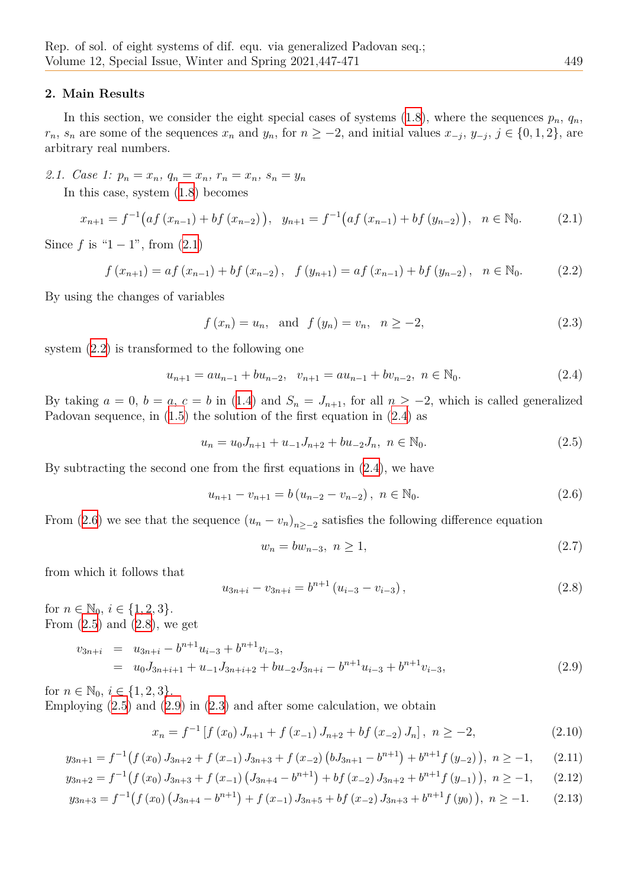#### **2. Main Results**

In this section, we consider the eight special cases of systems (1.8), where the sequences  $p_n$ ,  $q_n$ ,  $r_n$ ,  $s_n$  are some of the sequences  $x_n$  and  $y_n$ , for  $n \geq -2$ , and initial values  $x_{-j}$ ,  $y_{-j}$ ,  $j \in \{0, 1, 2\}$ , are arbitrary real numbers.

# 2.1. Case 1:  $p_n = x_n$ ,  $q_n = x_n$ ,  $r_n = x_n$ ,  $s_n = y_n$ In this case, system (1.8) becomes

$$
x_{n+1} = f^{-1}(af(x_{n-1}) + bf(x_{n-2})), y_{n+1} = f^{-1}(af(x_{n-1}) + bf(y_{n-2})), n \in \mathbb{N}_0.
$$
 (2.1)

Since *f* is " $1 - 1$ ", from  $(2.1)$ 

<span id="page-2-1"></span><span id="page-2-0"></span>
$$
f(x_{n+1}) = af(x_{n-1}) + bf(x_{n-2}), \quad f(y_{n+1}) = af(x_{n-1}) + bf(y_{n-2}), \quad n \in \mathbb{N}_0.
$$
 (2.2)

By using the changes of [varia](#page-2-0)bles

$$
f(x_n) = u_n
$$
, and  $f(y_n) = v_n$ ,  $n \ge -2$ , (2.3)

system (2.2) is transformed to the following one

<span id="page-2-7"></span>
$$
u_{n+1} = au_{n-1} + bu_{n-2}, \quad v_{n+1} = au_{n-1} + bv_{n-2}, \quad n \in \mathbb{N}_0. \tag{2.4}
$$

By taki[ng](#page-2-1)  $a = 0$ ,  $b = a$ ,  $c = b$  in (1.4) and  $S_n = J_{n+1}$ , for all  $n \ge -2$ , which is called generalized Padovan sequence, in (1.5) the solution of the first equation in (2.4) as

<span id="page-2-2"></span>
$$
u_n = u_0 J_{n+1} + u_{-1} J_{n+2} + b u_{-2} J_n, \ n \in \mathbb{N}_0.
$$
\n
$$
(2.5)
$$

By subtracting the sec[ond](#page-1-6) one from the first equations in (2.4), [we](#page-2-2) have

<span id="page-2-5"></span>
$$
u_{n+1} - v_{n+1} = b(u_{n-2} - v_{n-2}), \ n \in \mathbb{N}_0.
$$
\n(2.6)

From (2.6) we see that [the](#page-2-2) sequence  $(u_n - v_n)_{n \ge -2}$  satisfies the following difference equation

$$
w_n = bw_{n-3}, \ n \ge 1,\tag{2.7}
$$

from [whic](#page-2-3)h it follows that

<span id="page-2-4"></span><span id="page-2-3"></span>
$$
u_{3n+i} - v_{3n+i} = b^{n+1} \left( u_{i-3} - v_{i-3} \right), \tag{2.8}
$$

for  $n \in \mathbb{N}_0$ ,  $i \in \{1, 2, 3\}$ . From  $(2.5)$  and  $(2.8)$ , we get

$$
v_{3n+i} = u_{3n+i} - b^{n+1}u_{i-3} + b^{n+1}v_{i-3},
$$
  
=  $u_0 J_{3n+i+1} + u_{-1} J_{3n+i+2} + bu_{-2} J_{3n+i} - b^{n+1} u_{i-3} + b^{n+1} v_{i-3},$  (2.9)

<span id="page-2-6"></span>for  $n \in \mathbb{N}_0$ ,  $i \in \{1, 2, 3\}$ .

Employing  $(2.5)$  and  $(2.9)$  in  $(2.3)$  and after some calculation, we obtain

<span id="page-2-8"></span>
$$
x_{n} = f^{-1} \left[ f(x_{0}) J_{n+1} + f(x_{-1}) J_{n+2} + bf(x_{-2}) J_{n} \right], \ n \ge -2,
$$
\n(2.10)

$$
y_{3n+1} = f^{-1}(f(x_0) J_{3n+2} + f(x_{-1}) J_{3n+3} + f(x_{-2}) (bJ_{3n+1} - b^{n+1}) + b^{n+1} f(y_{-2}), \ n \ge -1, \tag{2.11}
$$

$$
y_{3n+2} = f^{-1}(f(x_0)J_{3n+3} + f(x_{-1})(J_{3n+4} - b^{n+1}) + bf(x_{-2})J_{3n+2} + b^{n+1}f(y_{-1})), \quad n \ge -1,\tag{2.12}
$$

$$
y_{3n+3} = f^{-1}(f(x_0) (J_{3n+4} - b^{n+1}) + f(x_{-1}) J_{3n+5} + bf(x_{-2}) J_{3n+3} + b^{n+1} f(y_0)), \ n \ge -1. \tag{2.13}
$$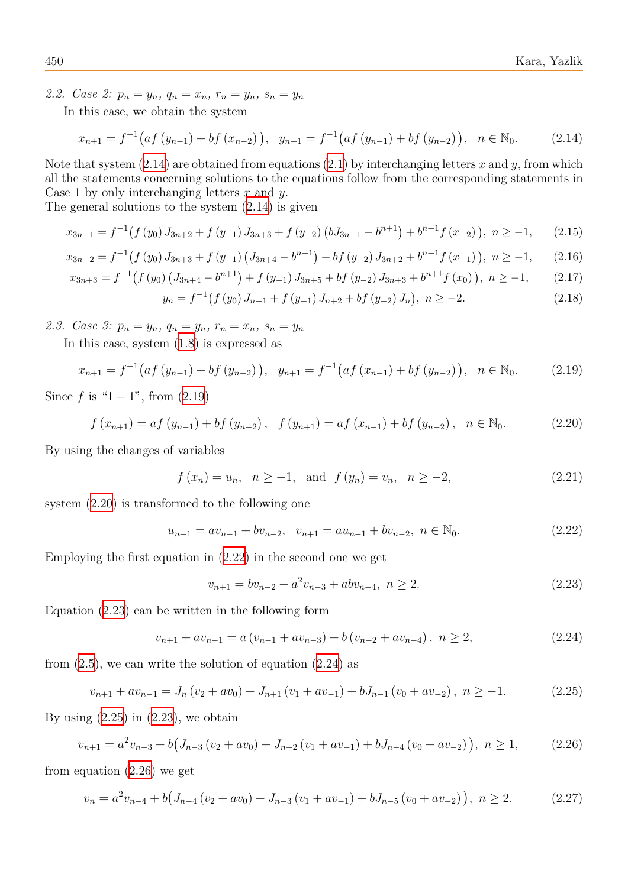2.2. Case 2:  $p_n = y_n$ ,  $q_n = x_n$ ,  $r_n = y_n$ ,  $s_n = y_n$ 

In this case, we obtain the system

$$
x_{n+1} = f^{-1}(af(y_{n-1}) + bf(x_{n-2})), y_{n+1} = f^{-1}(af(y_{n-1}) + bf(y_{n-2})), n \in \mathbb{N}_0.
$$
 (2.14)

Note that system  $(2.14)$  are obtained from equations  $(2.1)$  by interchanging letters x and y, from which all the statements concerning solutions to the equations follow from the corresponding statements in Case 1 by only interchanging letters *x* and *y*.

<span id="page-3-0"></span>The general soluti[ons t](#page-3-0)o the system (2.14) is given

$$
x_{3n+1} = f^{-1}(f(y_0) J_{3n+2} + f(y_{-1}) J_{3n+3} + f(y_{-2}) (bJ_{3n+1} - b^{n+1}) + b^{n+1} f(x_{-2})), \ n \ge -1, \qquad (2.15)
$$

$$
x_{3n+2} = f^{-1}(f(y_0) J_{3n+3} + f(y_{-1}) (J_{3n+4} - b^{n+1}) + bf(y_{-2}) J_{3n+2} + b^{n+1} f(x_{-1})), \ n \ge -1, \qquad (2.16)
$$

$$
x_{3n+3} = f^{-1}(f(y_0) (J_{3n+4} - b^{n+1}) + f(y_{-1}) J_{3n+5} + bf(y_{-2}) J_{3n+3} + b^{n+1} f(x_0)), \ n \ge -1, \qquad (2.17)
$$

$$
y_n = f^{-1}(f(y_0) J_{n+1} + f(y_{-1}) J_{n+2} + bf(y_{-2}) J_n), \ n \ge -2.
$$
 (2.18)

2.3. Case 3:  $p_n = y_n$ ,  $q_n = y_n$ ,  $r_n = x_n$ ,  $s_n = y_n$ 

In this case, system (1.8) is expressed as

$$
x_{n+1} = f^{-1}(af(y_{n-1}) + bf(y_{n-2})), y_{n+1} = f^{-1}(af(x_{n-1}) + bf(y_{n-2})), n \in \mathbb{N}_0.
$$
 (2.19)

Since *f* is " $1 - 1$ ", from [\(2.1](#page-1-5)9)

<span id="page-3-2"></span><span id="page-3-1"></span>
$$
f(x_{n+1}) = af(y_{n-1}) + bf(y_{n-2}), \quad f(y_{n+1}) = af(x_{n-1}) + bf(y_{n-2}), \quad n \in \mathbb{N}_0.
$$
 (2.20)

By using the changes of [variab](#page-3-1)les

$$
f(x_n) = u_n, \quad n \ge -1, \text{ and } f(y_n) = v_n, \quad n \ge -2,
$$
 (2.21)

system (2.20) is transformed to the following one

$$
u_{n+1} = av_{n-1} + bv_{n-2}, \quad v_{n+1} = au_{n-1} + bv_{n-2}, \quad n \in \mathbb{N}_0. \tag{2.22}
$$

Employi[ng th](#page-3-2)e first equation in (2.22) in the second one we get

<span id="page-3-4"></span><span id="page-3-3"></span>
$$
v_{n+1} = bv_{n-2} + a^2 v_{n-3} + abv_{n-4}, \ n \ge 2. \tag{2.23}
$$

Equation (2.23) can be written i[n the](#page-3-3) following form

$$
v_{n+1} + av_{n-1} = a(v_{n-1} + av_{n-3}) + b(v_{n-2} + av_{n-4}), \ n \ge 2,
$$
\n(2.24)

from  $(2.5)$ , [we](#page-3-4) can write the solution of equation  $(2.24)$  as

$$
v_{n+1} + av_{n-1} = J_n(v_2 + av_0) + J_{n+1}(v_1 + av_{-1}) + bJ_{n-1}(v_0 + av_{-2}), \ n \ge -1. \tag{2.25}
$$

By us[ing](#page-2-5)  $(2.25)$  in  $(2.23)$ , we obtain

<span id="page-3-5"></span>
$$
v_{n+1} = a^2 v_{n-3} + b \big( J_{n-3} \left( v_2 + av_0 \right) + J_{n-2} \left( v_1 + av_{-1} \right) + b J_{n-4} \left( v_0 + av_{-2} \right) \big), \ n \ge 1, \tag{2.26}
$$

from equa[tion](#page-3-5) (2.26[\) we](#page-3-4) get

<span id="page-3-6"></span>
$$
v_n = a^2 v_{n-4} + b \big( J_{n-4} \left( v_2 + av_0 \right) + J_{n-3} \left( v_1 + av_{-1} \right) + b J_{n-5} \left( v_0 + av_{-2} \right) \big), \ n \ge 2. \tag{2.27}
$$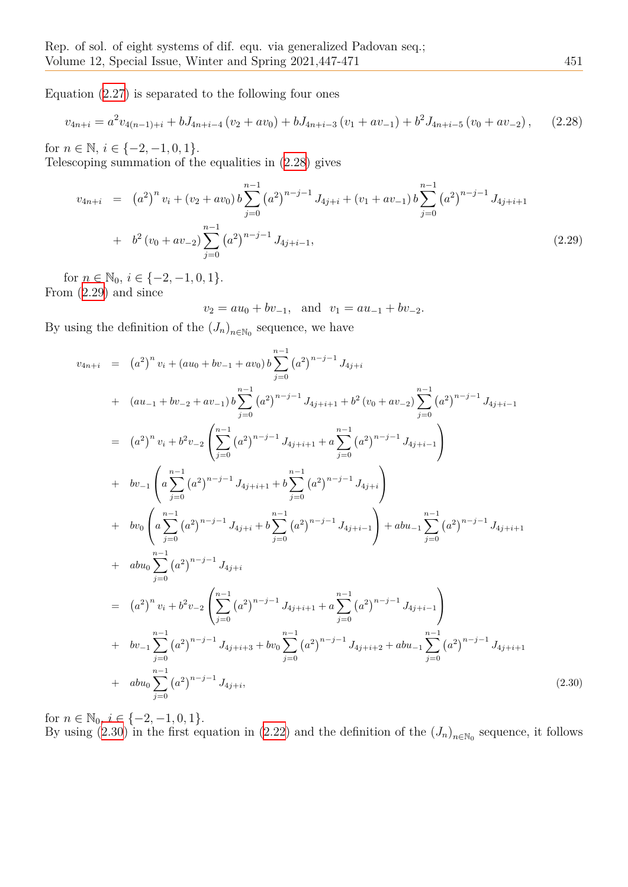Equation (2.27) is separated to the following four ones

$$
v_{4n+i} = a^2 v_{4(n-1)+i} + b J_{4n+i-4} (v_2 + av_0) + b J_{4n+i-3} (v_1 + av_{-1}) + b^2 J_{4n+i-5} (v_0 + av_{-2}), \quad (2.28)
$$

for  $n \in \mathbb{N}, i \in \{-2, -1, 0, 1\}.$ 

Telescoping summation of the equalities in (2.28) gives

$$
v_{4n+i} = (a^2)^n v_i + (v_2 + av_0) b \sum_{j=0}^{n-1} (a^2)^{n-j-1} J_{4j+i} + (v_1 + av_{-1}) b \sum_{j=0}^{n-1} (a^2)^{n-j-1} J_{4j+i+1}
$$
  
+ 
$$
b^2 (v_0 + av_{-2}) \sum_{j=0}^{n-1} (a^2)^{n-j-1} J_{4j+i-1},
$$
 (2.29)

for  $n \in \mathbb{N}_0$ ,  $i \in \{-2, -1, 0, 1\}$ . From (2.29) and since

 $v_2 = au_0 + bv_{-1}$ , and  $v_1 = au_{-1} + bv_{-2}$ .

By using the definition of the  $(J_n)_{n \in \mathbb{N}_0}$  sequence, we have

$$
v_{4n+i} = (a^{2})^{n} v_{i} + (au_{0} + bv_{-1} + av_{0}) b \sum_{j=0}^{n-1} (a^{2})^{n-j-1} J_{4j+i}
$$
  
+ 
$$
(au_{-1} + bv_{-2} + av_{-1}) b \sum_{j=0}^{n-1} (a^{2})^{n-j-1} J_{4j+i+1} + b^{2} (v_{0} + av_{-2}) \sum_{j=0}^{n-1} (a^{2})^{n-j-1} J_{4j+i-1}
$$
  
= 
$$
(a^{2})^{n} v_{i} + b^{2} v_{-2} \left( \sum_{j=0}^{n-1} (a^{2})^{n-j-1} J_{4j+i+1} + a \sum_{j=0}^{n-1} (a^{2})^{n-j-1} J_{4j+i-1} \right)
$$
  
+ 
$$
bv_{-1} \left( a \sum_{j=0}^{n-1} (a^{2})^{n-j-1} J_{4j+i+1} + b \sum_{j=0}^{n-1} (a^{2})^{n-j-1} J_{4j+i} \right)
$$
  
+ 
$$
bv_{0} \left( a \sum_{j=0}^{n-1} (a^{2})^{n-j-1} J_{4j+i} + b \sum_{j=0}^{n-1} (a^{2})^{n-j-1} J_{4j+i-1} \right) + abu_{-1} \sum_{j=0}^{n-1} (a^{2})^{n-j-1} J_{4j+i+1}
$$
  
+ 
$$
abu_{0} \sum_{j=0}^{n-1} (a^{2})^{n-j-1} J_{4j+i}
$$
  
= 
$$
(a^{2})^{n} v_{i} + b^{2} v_{-2} \left( \sum_{j=0}^{n-1} (a^{2})^{n-j-1} J_{4j+i+1} + a \sum_{j=0}^{n-1} (a^{2})^{n-j-1} J_{4j+i-1} \right)
$$
  
+ 
$$
bv_{-1} \sum_{j=0}^{n-1} (a^{2})^{n-j-1} J_{4j+i+3} + bv_{0} \sum_{j=0}^{n-1} (a^{2})^{n-j-1} J_{4j+i+2} + abu_{-1} \sum_{j=0}^{n-1} (a^{2})^{n-j-1} J_{4j+i+1}
$$
  
+ 
$$
abu_{0} \
$$

for  $n \in \mathbb{N}_0$ ,  $i \in \{-2, -1, 0, 1\}$ . By using (2.30) in the first equation in (2.22) and the definition of the  $(J_n)_{n\in\mathbb{N}_0}$  sequence, it follows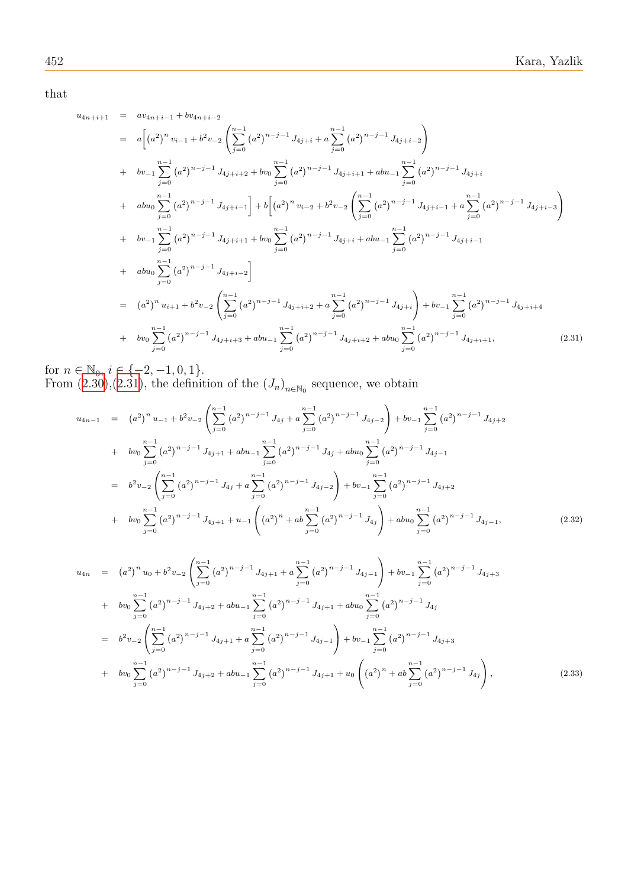that

$$
u_{4n+i+1} = av_{4n+i-1} + bv_{4n+i-2}
$$
\n
$$
= a \left[ (a^{2})^{n} v_{i-1} + b^{2} v_{-2} \left( \sum_{j=0}^{n-1} (a^{2})^{n-j-1} J_{4j+i} + a \sum_{j=0}^{n-1} (a^{2})^{n-j-1} J_{4j+i-2} \right) \right]
$$
\n
$$
+ bv_{-1} \sum_{j=0}^{n-1} (a^{2})^{n-j-1} J_{4j+i+2} + bv_{0} \sum_{j=0}^{n-1} (a^{2})^{n-j-1} J_{4j+i+1} + abu_{-1} \sum_{j=0}^{n-1} (a^{2})^{n-j-1} J_{4j+i}
$$
\n
$$
+ abu_{0} \sum_{j=0}^{n-1} (a^{2})^{n-j-1} J_{4j+i-1} \right] + b \left[ (a^{2})^{n} v_{i-2} + b^{2} v_{-2} \left( \sum_{j=0}^{n-1} (a^{2})^{n-j-1} J_{4j+i-1} + a \sum_{j=0}^{n-1} (a^{2})^{n-j-1} J_{4j+i-3} \right) \right]
$$
\n
$$
+ bv_{-1} \sum_{j=0}^{n-1} (a^{2})^{n-j-1} J_{4j+i+1} + bv_{0} \sum_{j=0}^{n-1} (a^{2})^{n-j-1} J_{4j+i} + abu_{-1} \sum_{j=0}^{n-1} (a^{2})^{n-j-1} J_{4j+i-1}
$$
\n
$$
+ abu_{0} \sum_{j=0}^{n-1} (a^{2})^{n-j-1} J_{4j+i-2} \right]
$$
\n
$$
= (a^{2})^{n} u_{i+1} + b^{2} v_{-2} \left( \sum_{j=0}^{n-1} (a^{2})^{n-j-1} J_{4j+i+2} + a \sum_{j=0}^{n-1} (a^{2})^{n-j-1} J_{4j+i} \right) + bv_{-1} \sum_{j=0}^{n-1} (a^{2})^{n-j-1} J_{4j+i+4}
$$
\n
$$
+ bv_{0} \sum_{j=0}^{n-1} (a^{2})^{n-j-1} J_{4j+i+3} + abu_{
$$

for  $n \in \mathbb{N}_0$ ,  $i \in \{-2, -1, 0, 1\}$ . From  $(2.30),(2.31)$ , the definition of the  $(J_n)_{n \in \mathbb{N}_0}$  sequence, we obtain

$$
u_{4n-1} = (a^2)^n u_{-1} + b^2 v_{-2} \left( \sum_{j=0}^{n-1} (a^2)^{n-j-1} J_{4j} + a \sum_{j=0}^{n-1} (a^2)^{n-j-1} J_{4j-2} \right) + b v_{-1} \sum_{j=0}^{n-1} (a^2)^{n-j-1} J_{4j+2}
$$
  
+ 
$$
b v_0 \sum_{j=0}^{n-1} (a^2)^{n-j-1} J_{4j+1} + ab u_{-1} \sum_{j=0}^{n-1} (a^2)^{n-j-1} J_{4j} + ab u_0 \sum_{j=0}^{n-1} (a^2)^{n-j-1} J_{4j-1}
$$
  
= 
$$
b^2 v_{-2} \left( \sum_{j=0}^{n-1} (a^2)^{n-j-1} J_{4j} + a \sum_{j=0}^{n-1} (a^2)^{n-j-1} J_{4j-2} \right) + b v_{-1} \sum_{j=0}^{n-1} (a^2)^{n-j-1} J_{4j+2}
$$
  
+ 
$$
b v_0 \sum_{j=0}^{n-1} (a^2)^{n-j-1} J_{4j+1} + u_{-1} \left( (a^2)^n + ab \sum_{j=0}^{n-1} (a^2)^{n-j-1} J_{4j} \right) + ab u_0 \sum_{j=0}^{n-1} (a^2)^{n-j-1} J_{4j-1}, \qquad (2.32)
$$

$$
u_{4n} = (a^{2})^{n} u_{0} + b^{2} v_{-2} \left( \sum_{j=0}^{n-1} (a^{2})^{n-j-1} J_{4j+1} + a \sum_{j=0}^{n-1} (a^{2})^{n-j-1} J_{4j-1} \right) + b v_{-1} \sum_{j=0}^{n-1} (a^{2})^{n-j-1} J_{4j+3}
$$
  
+ 
$$
b v_{0} \sum_{j=0}^{n-1} (a^{2})^{n-j-1} J_{4j+2} + ab u_{-1} \sum_{j=0}^{n-1} (a^{2})^{n-j-1} J_{4j+1} + ab u_{0} \sum_{j=0}^{n-1} (a^{2})^{n-j-1} J_{4j}
$$
  
= 
$$
b^{2} v_{-2} \left( \sum_{j=0}^{n-1} (a^{2})^{n-j-1} J_{4j+1} + a \sum_{j=0}^{n-1} (a^{2})^{n-j-1} J_{4j-1} \right) + b v_{-1} \sum_{j=0}^{n-1} (a^{2})^{n-j-1} J_{4j+3}
$$
  
+ 
$$
b v_{0} \sum_{j=0}^{n-1} (a^{2})^{n-j-1} J_{4j+2} + ab u_{-1} \sum_{j=0}^{n-1} (a^{2})^{n-j-1} J_{4j+1} + u_{0} \left( (a^{2})^{n} + ab \sum_{j=0}^{n-1} (a^{2})^{n-j-1} J_{4j} \right), \qquad (2.33)
$$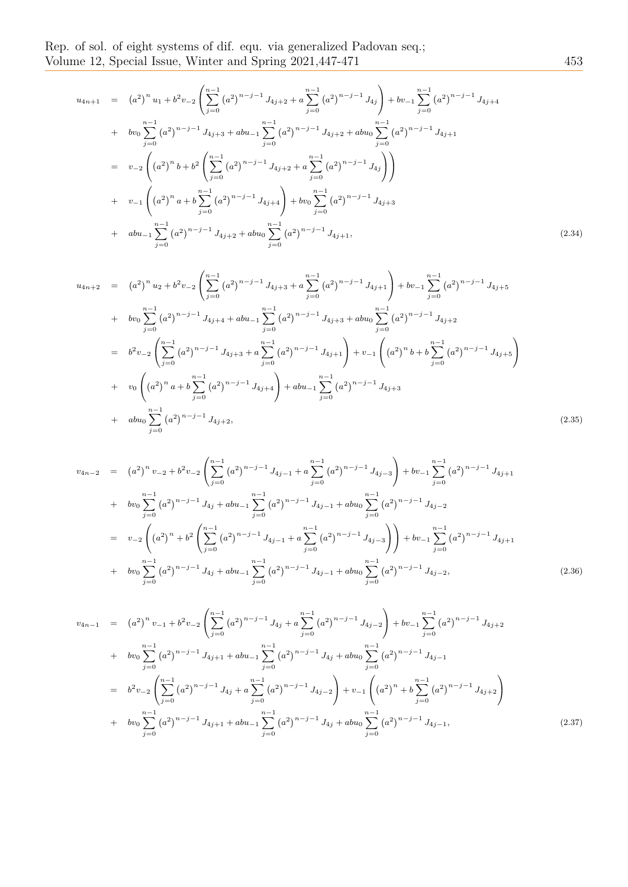$$
u_{4n+1} = (a^2)^n u_1 + b^2 v_{-2} \left( \sum_{j=0}^{n-1} (a^2)^{n-j-1} J_{4j+2} + a \sum_{j=0}^{n-1} (a^2)^{n-j-1} J_{4j} \right) + bv_{-1} \sum_{j=0}^{n-1} (a^2)^{n-j-1} J_{4j+4}
$$
  
+ 
$$
bv_0 \sum_{j=0}^{n-1} (a^2)^{n-j-1} J_{4j+3} + abu_{-1} \sum_{j=0}^{n-1} (a^2)^{n-j-1} J_{4j+2} + abu_0 \sum_{j=0}^{n-1} (a^2)^{n-j-1} J_{4j+1}
$$
  
= 
$$
v_{-2} \left( (a^2)^n b + b^2 \left( \sum_{j=0}^{n-1} (a^2)^{n-j-1} J_{4j+2} + a \sum_{j=0}^{n-1} (a^2)^{n-j-1} J_{4j} \right) \right)
$$
  
+ 
$$
v_{-1} \left( (a^2)^n a + b \sum_{j=0}^{n-1} (a^2)^{n-j-1} J_{4j+4} \right) + bv_0 \sum_{j=0}^{n-1} (a^2)^{n-j-1} J_{4j+3}
$$
  
+ 
$$
abu_{-1} \sum_{j=0}^{n-1} (a^2)^{n-j-1} J_{4j+2} + abu_0 \sum_{j=0}^{n-1} (a^2)^{n-j-1} J_{4j+1},
$$
 (2.34)

$$
u_{4n+2} = (a^2)^n u_2 + b^2 v_{-2} \left( \sum_{j=0}^{n-1} (a^2)^{n-j-1} J_{4j+3} + a \sum_{j=0}^{n-1} (a^2)^{n-j-1} J_{4j+1} \right) + bv_{-1} \sum_{j=0}^{n-1} (a^2)^{n-j-1} J_{4j+5}
$$
  
+ 
$$
bv_0 \sum_{j=0}^{n-1} (a^2)^{n-j-1} J_{4j+4} + abu_{-1} \sum_{j=0}^{n-1} (a^2)^{n-j-1} J_{4j+3} + abu_0 \sum_{j=0}^{n-1} (a^2)^{n-j-1} J_{4j+2}
$$
  
= 
$$
b^2 v_{-2} \left( \sum_{j=0}^{n-1} (a^2)^{n-j-1} J_{4j+3} + a \sum_{j=0}^{n-1} (a^2)^{n-j-1} J_{4j+1} \right) + v_{-1} \left( (a^2)^n b + b \sum_{j=0}^{n-1} (a^2)^{n-j-1} J_{4j+5} \right)
$$
  
+ 
$$
v_0 \left( (a^2)^n a + b \sum_{j=0}^{n-1} (a^2)^{n-j-1} J_{4j+4} \right) + abu_{-1} \sum_{j=0}^{n-1} (a^2)^{n-j-1} J_{4j+3}
$$
  
+ 
$$
abu_0 \sum_{j=0}^{n-1} (a^2)^{n-j-1} J_{4j+2}, \qquad (2.35)
$$

$$
v_{4n-2} = (a^2)^n v_{-2} + b^2 v_{-2} \left( \sum_{j=0}^{n-1} (a^2)^{n-j-1} J_{4j-1} + a \sum_{j=0}^{n-1} (a^2)^{n-j-1} J_{4j-3} \right) + b v_{-1} \sum_{j=0}^{n-1} (a^2)^{n-j-1} J_{4j+1}
$$
  
+ 
$$
b v_0 \sum_{j=0}^{n-1} (a^2)^{n-j-1} J_{4j} + ab u_{-1} \sum_{j=0}^{n-1} (a^2)^{n-j-1} J_{4j-1} + ab u_0 \sum_{j=0}^{n-1} (a^2)^{n-j-1} J_{4j-2}
$$
  
= 
$$
v_{-2} \left( (a^2)^n + b^2 \left( \sum_{j=0}^{n-1} (a^2)^{n-j-1} J_{4j-1} + a \sum_{j=0}^{n-1} (a^2)^{n-j-1} J_{4j-3} \right) \right) + b v_{-1} \sum_{j=0}^{n-1} (a^2)^{n-j-1} J_{4j+1}
$$
  
+ 
$$
b v_0 \sum_{j=0}^{n-1} (a^2)^{n-j-1} J_{4j} + ab u_{-1} \sum_{j=0}^{n-1} (a^2)^{n-j-1} J_{4j-1} + ab u_0 \sum_{j=0}^{n-1} (a^2)^{n-j-1} J_{4j-2},
$$
(2.36)

$$
v_{4n-1} = (a^2)^n v_{-1} + b^2 v_{-2} \left( \sum_{j=0}^{n-1} (a^2)^{n-j-1} J_{4j} + a \sum_{j=0}^{n-1} (a^2)^{n-j-1} J_{4j-2} \right) + b v_{-1} \sum_{j=0}^{n-1} (a^2)^{n-j-1} J_{4j+2}
$$
  
+ 
$$
b v_0 \sum_{j=0}^{n-1} (a^2)^{n-j-1} J_{4j+1} + ab u_{-1} \sum_{j=0}^{n-1} (a^2)^{n-j-1} J_{4j} + ab u_0 \sum_{j=0}^{n-1} (a^2)^{n-j-1} J_{4j-1}
$$
  
= 
$$
b^2 v_{-2} \left( \sum_{j=0}^{n-1} (a^2)^{n-j-1} J_{4j} + a \sum_{j=0}^{n-1} (a^2)^{n-j-1} J_{4j-2} \right) + v_{-1} \left( (a^2)^n + b \sum_{j=0}^{n-1} (a^2)^{n-j-1} J_{4j+2} \right)
$$
  
+ 
$$
b v_0 \sum_{j=0}^{n-1} (a^2)^{n-j-1} J_{4j+1} + ab u_{-1} \sum_{j=0}^{n-1} (a^2)^{n-j-1} J_{4j} + ab u_0 \sum_{j=0}^{n-1} (a^2)^{n-j-1} J_{4j-1},
$$
(2.37)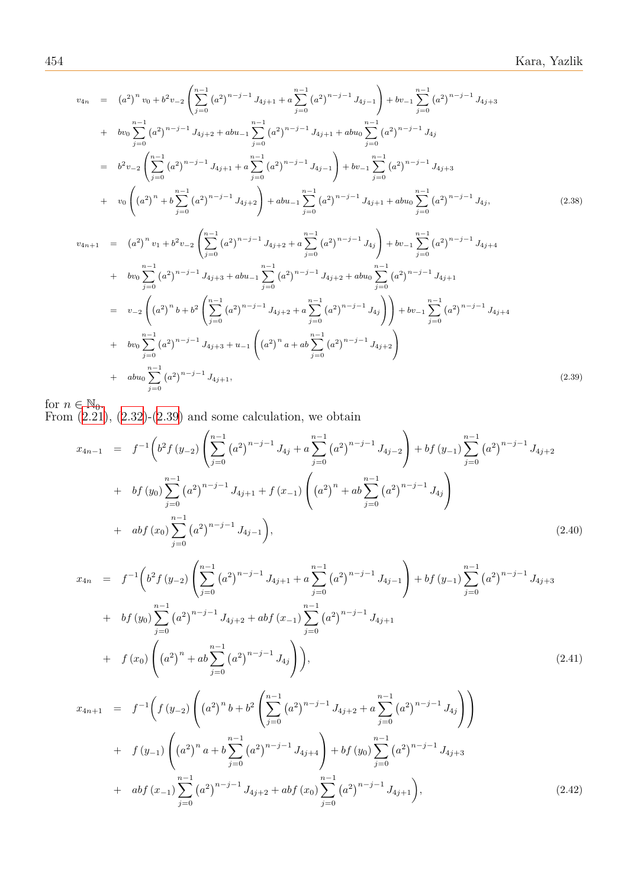$$
v_{4n} = (a^{2})^{n} v_{0} + b^{2} v_{-2} \left( \sum_{j=0}^{n-1} (a^{2})^{n-j-1} J_{4j+1} + a \sum_{j=0}^{n-1} (a^{2})^{n-j-1} J_{4j-1} \right) + b v_{-1} \sum_{j=0}^{n-1} (a^{2})^{n-j-1} J_{4j+3}
$$
  
+  $b v_{0} \sum_{j=0}^{n-1} (a^{2})^{n-j-1} J_{4j+2} + ab u_{-1} \sum_{j=0}^{n-1} (a^{2})^{n-j-1} J_{4j+1} + ab u_{0} \sum_{j=0}^{n-1} (a^{2})^{n-j-1} J_{4j} = b^{2} v_{-2} \left( \sum_{j=0}^{n-1} (a^{2})^{n-j-1} J_{4j+1} + a \sum_{j=0}^{n-1} (a^{2})^{n-j-1} J_{4j-1} \right) + b v_{-1} \sum_{j=0}^{n-1} (a^{2})^{n-j-1} J_{4j+3}$   
+  $v_{0} \left( (a^{2})^{n} + b \sum_{j=0}^{n-1} (a^{2})^{n-j-1} J_{4j+2} \right) + ab u_{-1} \sum_{j=0}^{n-1} (a^{2})^{n-j-1} J_{4j+1} + ab u_{0} \sum_{j=0}^{n-1} (a^{2})^{n-j-1} J_{4j},$  (2.38)  
  
 $v_{4n+1} = (a^{2})^{n} v_{1} + b^{2} v_{-2} \left( \sum_{j=0}^{n-1} (a^{2})^{n-j-1} J_{4j+2} + a \sum_{j=0}^{n-1} (a^{2})^{n-j-1} J_{4j} \right) + b v_{-1} \sum_{j=0}^{n-1} (a^{2})^{n-j-1} J_{4j+4}$   
+  $b v_{0} \sum_{j=0}^{n-1} (a^{2})^{n-j-1} J_{4j+3} + ab u_{-1} \sum_{j=0}^{n-1} (a^{2})^{n-j-1} J_{4j+2} + ab u_{0} \sum_{j=0}^{n-1} (a^{2})^{n-j-1} J_{4j+1}$   
=  $v_{-$ 

<span id="page-7-0"></span>for  $n \in \mathbb{N}_0$ .

From  $(2.21)$ ,  $(2.32)$ - $(2.39)$  and some calculation, we obtain

*j*=0

$$
x_{4n-1} = f^{-1}\left(b^2 f (y_{-2}) \left(\sum_{j=0}^{n-1} (a^2)^{n-j-1} J_{4j} + a \sum_{j=0}^{n-1} (a^2)^{n-j-1} J_{4j-2}\right) + bf (y_{-1}) \sum_{j=0}^{n-1} (a^2)^{n-j-1} J_{4j+2} + bf (y_0) \sum_{j=0}^{n-1} (a^2)^{n-j-1} J_{4j+1} + f (x_{-1}) \left((a^2)^n + ab \sum_{j=0}^{n-1} (a^2)^{n-j-1} J_{4j}\right) + ab f (x_0) \sum_{j=0}^{n-1} (a^2)^{n-j-1} J_{4j-1}\right), \tag{2.40}
$$

$$
x_{4n} = f^{-1}\left(b^2 f (y_{-2}) \left(\sum_{j=0}^{n-1} (a^2)^{n-j-1} J_{4j+1} + a \sum_{j=0}^{n-1} (a^2)^{n-j-1} J_{4j-1}\right) + bf (y_{-1}) \sum_{j=0}^{n-1} (a^2)^{n-j-1} J_{4j+3} + bf (y_0) \sum_{j=0}^{n-1} (a^2)^{n-j-1} J_{4j+2} + ab f (x_{-1}) \sum_{j=0}^{n-1} (a^2)^{n-j-1} J_{4j+1} + f (x_0) \left((a^2)^n + ab \sum_{j=0}^{n-1} (a^2)^{n-j-1} J_{4j}\right)\right), \tag{2.41}
$$

$$
x_{4n+1} = f^{-1}\left(f\left(y_{-2}\right)\left(\left(a^{2}\right)^{n}b + b^{2}\left(\sum_{j=0}^{n-1}\left(a^{2}\right)^{n-j-1}J_{4j+2} + a\sum_{j=0}^{n-1}\left(a^{2}\right)^{n-j-1}J_{4j}\right)\right) + f\left(y_{-1}\right)\left(\left(a^{2}\right)^{n}a + b\sum_{j=0}^{n-1}\left(a^{2}\right)^{n-j-1}J_{4j+4}\right) + bf\left(y_{0}\right)\sum_{j=0}^{n-1}\left(a^{2}\right)^{n-j-1}J_{4j+3} + abf\left(x_{-1}\right)\sum_{j=0}^{n-1}\left(a^{2}\right)^{n-j-1}J_{4j+2} + abf\left(x_{0}\right)\sum_{j=0}^{n-1}\left(a^{2}\right)^{n-j-1}J_{4j+1}\right), \tag{2.42}
$$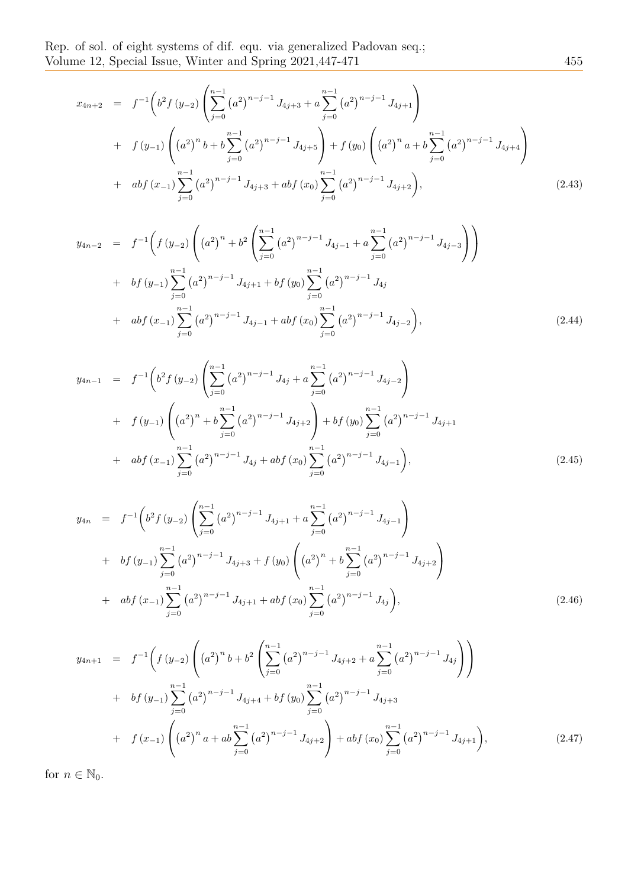Rep. of sol. of eight systems of dif. equ. via generalized Padovan seq.; Volume 12, Special Issue, Winter and Spring 2021, 447-471 455

$$
x_{4n+2} = f^{-1}\left(b^2 f (y_{-2}) \left(\sum_{j=0}^{n-1} (a^2)^{n-j-1} J_{4j+3} + a \sum_{j=0}^{n-1} (a^2)^{n-j-1} J_{4j+1}\right) + f (y_{-1}) \left((a^2)^n b + b \sum_{j=0}^{n-1} (a^2)^{n-j-1} J_{4j+5}\right) + f (y_0) \left((a^2)^n a + b \sum_{j=0}^{n-1} (a^2)^{n-j-1} J_{4j+4}\right) + abf (x_{-1}) \sum_{j=0}^{n-1} (a^2)^{n-j-1} J_{4j+3} + abf (x_0) \sum_{j=0}^{n-1} (a^2)^{n-j-1} J_{4j+2}\right), \tag{2.43}
$$

$$
y_{4n-2} = f^{-1}\left(f(y_{-2})\left((a^2)^n + b^2\left(\sum_{j=0}^{n-1} (a^2)^{n-j-1} J_{4j-1} + a\sum_{j=0}^{n-1} (a^2)^{n-j-1} J_{4j-3}\right)\right) + bf(y_{-1})\sum_{j=0}^{n-1} (a^2)^{n-j-1} J_{4j+1} + bf(y_0) \sum_{j=0}^{n-1} (a^2)^{n-j-1} J_{4j} + abf(x_{-1})\sum_{j=0}^{n-1} (a^2)^{n-j-1} J_{4j-1} + abf(x_0) \sum_{j=0}^{n-1} (a^2)^{n-j-1} J_{4j-2}\right),
$$
\n(2.44)

$$
y_{4n-1} = f^{-1}\left(b^2 f (y_{-2}) \left(\sum_{j=0}^{n-1} (a^2)^{n-j-1} J_{4j} + a \sum_{j=0}^{n-1} (a^2)^{n-j-1} J_{4j-2}\right) + f (y_{-1}) \left((a^2)^n + b \sum_{j=0}^{n-1} (a^2)^{n-j-1} J_{4j+2}\right) + bf (y_0) \sum_{j=0}^{n-1} (a^2)^{n-j-1} J_{4j+1} + abf (x_{-1}) \sum_{j=0}^{n-1} (a^2)^{n-j-1} J_{4j} + abf (x_0) \sum_{j=0}^{n-1} (a^2)^{n-j-1} J_{4j-1}\right),
$$
\n(2.45)

$$
y_{4n} = f^{-1}\left(b^2 f (y_{-2}) \left(\sum_{j=0}^{n-1} (a^2)^{n-j-1} J_{4j+1} + a \sum_{j=0}^{n-1} (a^2)^{n-j-1} J_{4j-1}\right) + bf (y_{-1}) \sum_{j=0}^{n-1} (a^2)^{n-j-1} J_{4j+3} + f (y_0) \left((a^2)^n + b \sum_{j=0}^{n-1} (a^2)^{n-j-1} J_{4j+2}\right) + ab f (x_{-1}) \sum_{j=0}^{n-1} (a^2)^{n-j-1} J_{4j+1} + ab f (x_0) \sum_{j=0}^{n-1} (a^2)^{n-j-1} J_{4j}\right),
$$
\n(2.46)

$$
y_{4n+1} = f^{-1}\left(f\left(y_{-2}\right)\left(\left(a^{2}\right)^{n}b + b^{2}\left(\sum_{j=0}^{n-1}\left(a^{2}\right)^{n-j-1}J_{4j+2} + a\sum_{j=0}^{n-1}\left(a^{2}\right)^{n-j-1}J_{4j}\right)\right) + bf\left(y_{-1}\right)\sum_{j=0}^{n-1}\left(a^{2}\right)^{n-j-1}J_{4j+4} + bf\left(y_{0}\right)\sum_{j=0}^{n-1}\left(a^{2}\right)^{n-j-1}J_{4j+3} + f\left(x_{-1}\right)\left(\left(a^{2}\right)^{n}a + ab\sum_{j=0}^{n-1}\left(a^{2}\right)^{n-j-1}J_{4j+2}\right) + abf\left(x_{0}\right)\sum_{j=0}^{n-1}\left(a^{2}\right)^{n-j-1}J_{4j+1}\right), \tag{2.47}
$$

for  $n \in \mathbb{N}_0$ .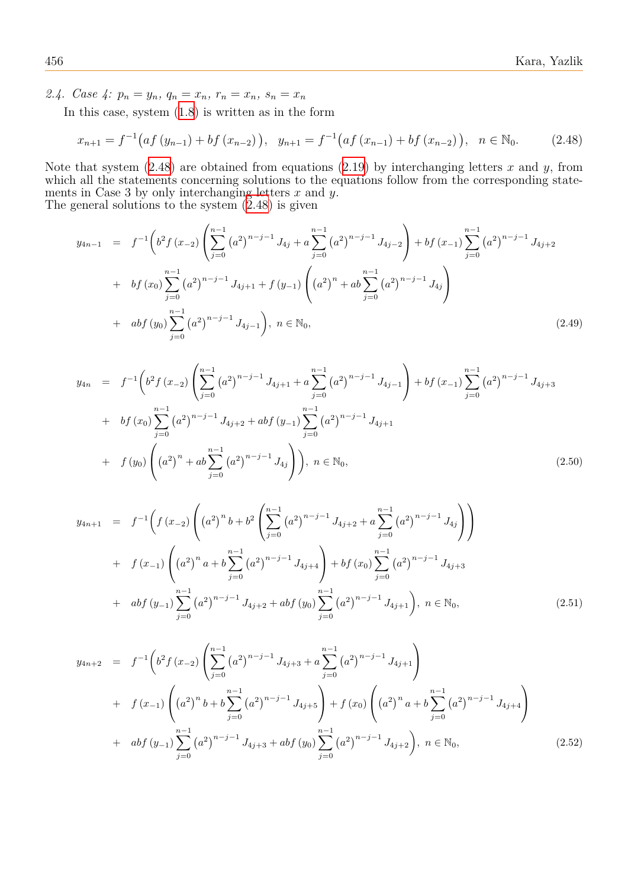2.4. Case 4:  $p_n = y_n$ ,  $q_n = x_n$ ,  $r_n = x_n$ ,  $s_n = x_n$ 

In this case, system (1.8) is written as in the form

$$
x_{n+1} = f^{-1}(af(y_{n-1}) + bf(x_{n-2})), y_{n+1} = f^{-1}(af(x_{n-1}) + bf(x_{n-2})), n \in \mathbb{N}_0.
$$
 (2.48)

Note that system  $(2.48)$  [are](#page-1-5) obtained from equations  $(2.19)$  by interchanging letters *x* and *y*, from which all the statements concerning solutions to the equations follow from the corresponding statements in Case 3 by only interchanging letters *x* and *y*.

<span id="page-9-0"></span>The general solutio[ns to](#page-9-0) the system  $(2.48)$  is given

$$
y_{4n-1} = f^{-1}\left(b^2 f(x_{-2}) \left(\sum_{j=0}^{n-1} (a^2)^{n-j-1} J_{4j} + a \sum_{j=0}^{n-1} (a^2)^{n-j-1} J_{4j-2}\right) + bf(x_{-1}) \sum_{j=0}^{n-1} (a^2)^{n-j-1} J_{4j+2} + bf(x_0) \sum_{j=0}^{n-1} (a^2)^{n-j-1} J_{4j+1} + f(y_{-1}) \left((a^2)^n + ab \sum_{j=0}^{n-1} (a^2)^{n-j-1} J_{4j}\right) + abf(y_0) \sum_{j=0}^{n-1} (a^2)^{n-j-1} J_{4j-1}\right), \ n \in \mathbb{N}_0,
$$
\n(2.49)

$$
y_{4n} = f^{-1}\left(b^2 f(x_{-2}) \left(\sum_{j=0}^{n-1} (a^2)^{n-j-1} J_{4j+1} + a \sum_{j=0}^{n-1} (a^2)^{n-j-1} J_{4j-1}\right) + bf(x_{-1}) \sum_{j=0}^{n-1} (a^2)^{n-j-1} J_{4j+3} + bf(x_0) \sum_{j=0}^{n-1} (a^2)^{n-j-1} J_{4j+2} + abf(y_{-1}) \sum_{j=0}^{n-1} (a^2)^{n-j-1} J_{4j+1} + f(y_0) \left((a^2)^n + ab \sum_{j=0}^{n-1} (a^2)^{n-j-1} J_{4j}\right)\right), \ n \in \mathbb{N}_0,
$$
\n(2.50)

$$
y_{4n+1} = f^{-1}\left(f\left(x_{-2}\right)\left(\left(a^{2}\right)^{n}b + b^{2}\left(\sum_{j=0}^{n-1}\left(a^{2}\right)^{n-j-1}J_{4j+2} + a\sum_{j=0}^{n-1}\left(a^{2}\right)^{n-j-1}J_{4j}\right)\right) + f\left(x_{-1}\right)\left(\left(a^{2}\right)^{n}a + b\sum_{j=0}^{n-1}\left(a^{2}\right)^{n-j-1}J_{4j+4}\right) + bf\left(x_{0}\right)\sum_{j=0}^{n-1}\left(a^{2}\right)^{n-j-1}J_{4j+3} + abf\left(y_{-1}\right)\sum_{j=0}^{n-1}\left(a^{2}\right)^{n-j-1}J_{4j+2} + abf\left(y_{0}\right)\sum_{j=0}^{n-1}\left(a^{2}\right)^{n-j-1}J_{4j+1}\right), n \in \mathbb{N}_{0}, \tag{2.51}
$$

$$
y_{4n+2} = f^{-1}\left(b^2 f(x_{-2}) \left(\sum_{j=0}^{n-1} (a^2)^{n-j-1} J_{4j+3} + a \sum_{j=0}^{n-1} (a^2)^{n-j-1} J_{4j+1}\right)\right)
$$
  
+  $f(x_{-1}) \left((a^2)^n b + b \sum_{j=0}^{n-1} (a^2)^{n-j-1} J_{4j+5}\right) + f(x_0) \left((a^2)^n a + b \sum_{j=0}^{n-1} (a^2)^{n-j-1} J_{4j+4}\right)$   
+  $ab f(y_{-1}) \sum_{j=0}^{n-1} (a^2)^{n-j-1} J_{4j+3} + ab f(y_0) \sum_{j=0}^{n-1} (a^2)^{n-j-1} J_{4j+2}\right), n \in \mathbb{N}_0,$  (2.52)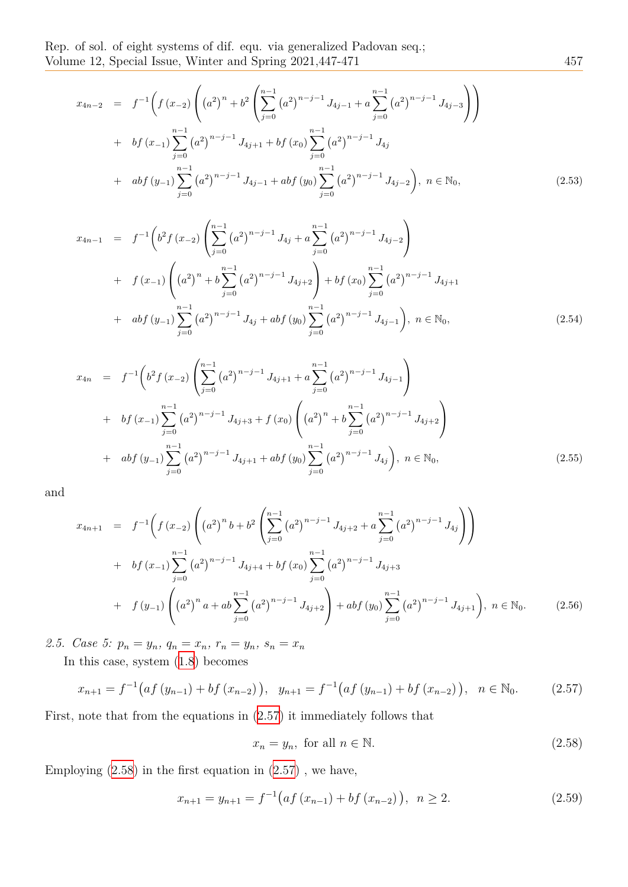$$
x_{4n-2} = f^{-1}\left(f\left(x_{-2}\right)\left(\left(a^{2}\right)^{n} + b^{2}\left(\sum_{j=0}^{n-1}\left(a^{2}\right)^{n-j-1}J_{4j-1} + a\sum_{j=0}^{n-1}\left(a^{2}\right)^{n-j-1}J_{4j-3}\right)\right) + bf\left(x_{-1}\right)\sum_{j=0}^{n-1}\left(a^{2}\right)^{n-j-1}J_{4j+1} + bf\left(x_{0}\right)\sum_{j=0}^{n-1}\left(a^{2}\right)^{n-j-1}J_{4j} + abf\left(y_{-1}\right)\sum_{j=0}^{n-1}\left(a^{2}\right)^{n-j-1}J_{4j-1} + abf\left(y_{0}\right)\sum_{j=0}^{n-1}\left(a^{2}\right)^{n-j-1}J_{4j-2}\right), \ n \in \mathbb{N}_{0}, \tag{2.53}
$$

$$
x_{4n-1} = f^{-1}\left(b^2 f(x_{-2}) \left(\sum_{j=0}^{n-1} (a^2)^{n-j-1} J_{4j} + a \sum_{j=0}^{n-1} (a^2)^{n-j-1} J_{4j-2}\right) + f(x_{-1}) \left((a^2)^n + b \sum_{j=0}^{n-1} (a^2)^{n-j-1} J_{4j+2}\right) + bf(x_0) \sum_{j=0}^{n-1} (a^2)^{n-j-1} J_{4j+1} + abf(y_{-1}) \sum_{j=0}^{n-1} (a^2)^{n-j-1} J_{4j} + abf(y_0) \sum_{j=0}^{n-1} (a^2)^{n-j-1} J_{4j-1}\right), \ n \in \mathbb{N}_0,
$$
\n(2.54)

$$
x_{4n} = f^{-1}\left(b^2 f(x_{-2}) \left(\sum_{j=0}^{n-1} (a^2)^{n-j-1} J_{4j+1} + a \sum_{j=0}^{n-1} (a^2)^{n-j-1} J_{4j-1}\right)\right)
$$
  
+ 
$$
bf(x_{-1}) \sum_{j=0}^{n-1} (a^2)^{n-j-1} J_{4j+3} + f(x_0) \left((a^2)^n + b \sum_{j=0}^{n-1} (a^2)^{n-j-1} J_{4j+2}\right)
$$
  
+ 
$$
abf(y_{-1}) \sum_{j=0}^{n-1} (a^2)^{n-j-1} J_{4j+1} + abf(y_0) \sum_{j=0}^{n-1} (a^2)^{n-j-1} J_{4j}\right), \ n \in \mathbb{N}_0,
$$
 (2.55)

$$
x_{4n+1} = f^{-1}\left(f\left(x_{-2}\right)\left(\left(a^{2}\right)^{n}b + b^{2}\left(\sum_{j=0}^{n-1}\left(a^{2}\right)^{n-j-1}J_{4j+2} + a\sum_{j=0}^{n-1}\left(a^{2}\right)^{n-j-1}J_{4j}\right)\right) + bf\left(x_{-1}\right)\sum_{j=0}^{n-1}\left(a^{2}\right)^{n-j-1}J_{4j+4} + bf\left(x_{0}\right)\sum_{j=0}^{n-1}\left(a^{2}\right)^{n-j-1}J_{4j+3} + f\left(y_{-1}\right)\left(\left(a^{2}\right)^{n}a + ab\sum_{j=0}^{n-1}\left(a^{2}\right)^{n-j-1}J_{4j+2}\right) + abf\left(y_{0}\right)\sum_{j=0}^{n-1}\left(a^{2}\right)^{n-j-1}J_{4j+1}\right), \ n \in \mathbb{N}_{0}.
$$
 (2.56)

2.5. Case 5:  $p_n = y_n$ ,  $q_n = x_n$ ,  $r_n = y_n$ ,  $s_n = x_n$ 

In this case, system (1.8) becomes

$$
x_{n+1} = f^{-1}(af(y_{n-1}) + bf(x_{n-2})), y_{n+1} = f^{-1}(af(y_{n-1}) + bf(x_{n-2})), n \in \mathbb{N}_0.
$$
 (2.57)

<span id="page-10-0"></span>First, note that from th[e eq](#page-1-5)uations in (2.57) it immediately follows that

$$
x_n = y_n, \text{ for all } n \in \mathbb{N}.\tag{2.58}
$$

Employing  $(2.58)$  in the first equation in  $(2.57)$ , we have,

$$
x_{n+1} = y_{n+1} = f^{-1}(af(x_{n-1}) + bf(x_{n-2})), \ \ n \ge 2. \tag{2.59}
$$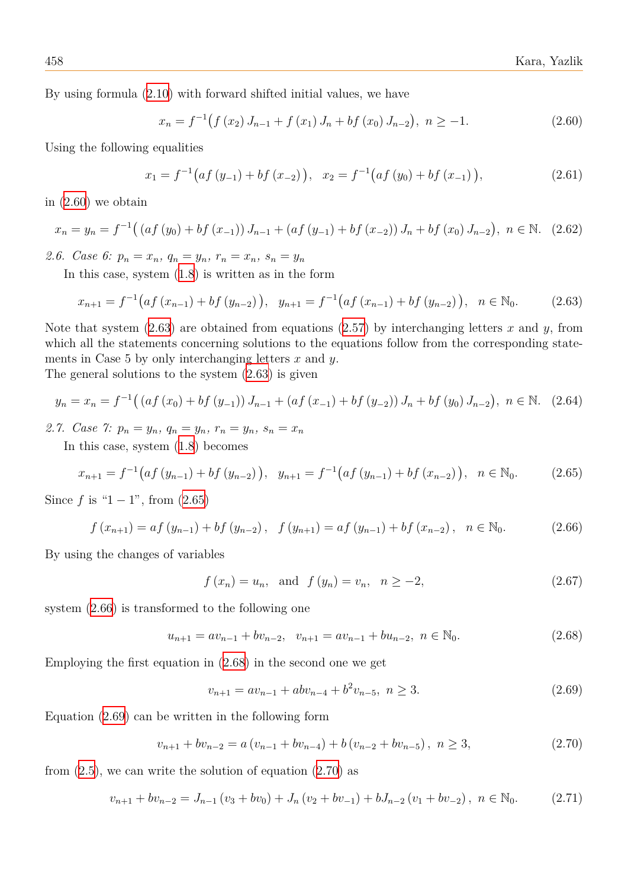By using formula (2.10) with forward shifted initial values, we have

$$
x_n = f^{-1}(f(x_2) J_{n-1} + f(x_1) J_n + bf(x_0) J_{n-2}), \ n \ge -1. \tag{2.60}
$$

Using the followin[g equ](#page-2-8)alities

<span id="page-11-0"></span>
$$
x_1 = f^{-1}(af(y_{-1}) + bf(x_{-2})), \quad x_2 = f^{-1}(af(y_0) + bf(x_{-1})), \tag{2.61}
$$

in (2.60) we obtain

$$
x_n = y_n = f^{-1}((af(y_0) + bf(x_{-1}))J_{n-1} + (af(y_{-1}) + bf(x_{-2}))J_n + bf(x_0)J_{n-2}), \ n \in \mathbb{N}. \tag{2.62}
$$

2.6*. Case* 6:  $p_n = x_n$ ,  $q_n = y_n$ ,  $r_n = x_n$ ,  $s_n = y_n$ 

In this case, system (1.8) is written as in the form

$$
x_{n+1} = f^{-1}(af(x_{n-1}) + bf(y_{n-2})), y_{n+1} = f^{-1}(af(x_{n-1}) + bf(y_{n-2})), n \in \mathbb{N}_0.
$$
 (2.63)

<span id="page-11-1"></span>Note that system  $(2.63)$  [are](#page-1-5) obtained from equations  $(2.57)$  by interchanging letters *x* and *y*, from which all the statements concerning solutions to the equations follow from the corresponding statements in Case 5 by only interchanging letters *x* and *y*.

The general solutio[ns to](#page-11-1) the system (2.63) is given

$$
y_n = x_n = f^{-1}((af(x_0) + bf(y_{-1}))J_{n-1} + (af(x_{-1}) + bf(y_{-2}))J_n + bf(y_0)J_{n-2}), \ n \in \mathbb{N}. \tag{2.64}
$$

2.7. Ca[s](#page-11-1)e 7:  $p_n = y_n$ ,  $q_n = y_n$ ,  $r_n = y_n$ ,  $s_n = x_n$ 

In this case, system (1.8) becomes

$$
x_{n+1} = f^{-1}(af(y_{n-1}) + bf(y_{n-2})), y_{n+1} = f^{-1}(af(y_{n-1}) + bf(x_{n-2})), n \in \mathbb{N}_0.
$$
 (2.65)

Since *f* is " $1 - 1$ ", from [\(2.6](#page-1-5)5)

<span id="page-11-3"></span><span id="page-11-2"></span>
$$
f(x_{n+1}) = af(y_{n-1}) + bf(y_{n-2}), \quad f(y_{n+1}) = af(y_{n-1}) + bf(x_{n-2}), \quad n \in \mathbb{N}_0.
$$
 (2.66)

By using the changes of [variab](#page-11-2)les

$$
f(x_n) = u_n
$$
, and  $f(y_n) = v_n$ ,  $n \ge -2$ , (2.67)

system (2.66) is transformed to the following one

<span id="page-11-7"></span>
$$
u_{n+1} = av_{n-1} + bv_{n-2}, \quad v_{n+1} = av_{n-1} + bu_{n-2}, \quad n \in \mathbb{N}_0. \tag{2.68}
$$

Employi[ng th](#page-11-3)e first equation in (2.68) in the second one we get

<span id="page-11-5"></span><span id="page-11-4"></span>
$$
v_{n+1} = av_{n-1} + abv_{n-4} + b^2 v_{n-5}, \ n \ge 3. \tag{2.69}
$$

Equation (2.69) can be written i[n the](#page-11-4) following form

$$
v_{n+1} + bv_{n-2} = a(v_{n-1} + bv_{n-4}) + b(v_{n-2} + bv_{n-5}), \ n \ge 3,
$$
\n(2.70)

from  $(2.5)$ , [we](#page-11-5) can write the solution of equation  $(2.70)$  as

<span id="page-11-6"></span>
$$
v_{n+1} + bv_{n-2} = J_{n-1} (v_3 + bv_0) + J_n (v_2 + bv_{-1}) + bJ_{n-2} (v_1 + bv_{-2}), \quad n \in \mathbb{N}_0.
$$
 (2.71)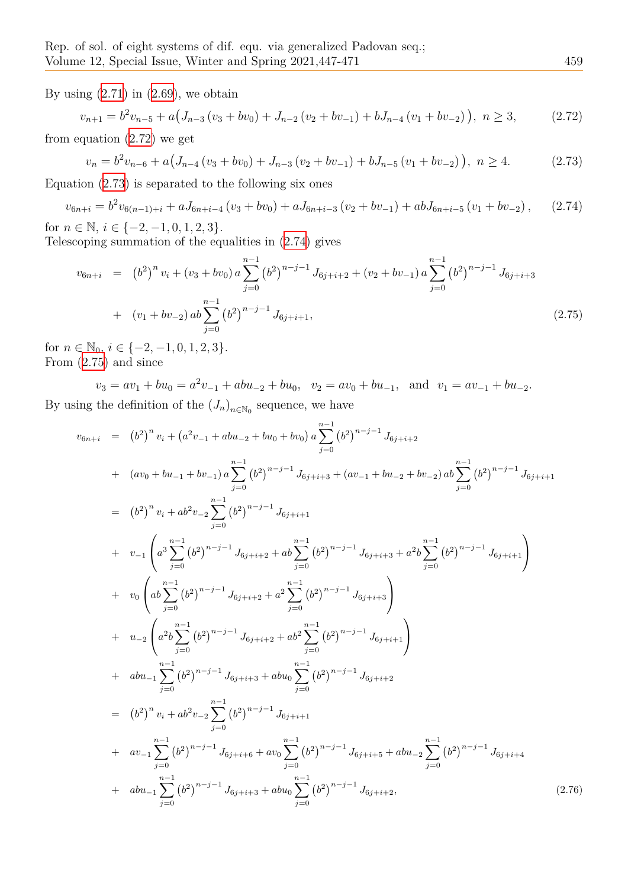By using  $(2.71)$  in  $(2.69)$ , we obtain

$$
v_{n+1} = b^2 v_{n-5} + a \big( J_{n-3} \left( v_3 + b v_0 \right) + J_{n-2} \left( v_2 + b v_{-1} \right) + b J_{n-4} \left( v_1 + b v_{-2} \right) \big), \ n \ge 3, \tag{2.72}
$$

from equa[tion](#page-11-6) (2.72[\) we](#page-11-5) get

<span id="page-12-0"></span>
$$
v_n = b^2 v_{n-6} + a \big( J_{n-4} \left( v_3 + b v_0 \right) + J_{n-3} \left( v_2 + b v_{-1} \right) + b J_{n-5} \left( v_1 + b v_{-2} \right) \big), \ n \ge 4. \tag{2.73}
$$

Equation  $(2.73)$  is separated to the following six ones

<span id="page-12-1"></span>
$$
v_{6n+i} = b^2 v_{6(n-1)+i} + a J_{6n+i-4} (v_3 + bv_0) + a J_{6n+i-3} (v_2 + bv_{-1}) + ab J_{6n+i-5} (v_1 + bv_{-2}), \quad (2.74)
$$

for  $n \in \mathbb{N}, i \in \{-2, -1, 0, 1, 2, 3\}.$ 

Telescopin[g sum](#page-12-1)mation of the equalities in (2.74) gives

$$
v_{6n+i} = (b^2)^n v_i + (v_3 + bv_0) a \sum_{j=0}^{n-1} (b^2)^{n-j-1} J_{6j+i+2} + (v_2 + bv_{-1}) a \sum_{j=0}^{n-1} (b^2)^{n-j-1} J_{6j+i+3}
$$
  
+ 
$$
(v_1 + bv_{-2}) ab \sum_{j=0}^{n-1} (b^2)^{n-j-1} J_{6j+i+1},
$$
 (2.75)

<span id="page-12-2"></span>for  $n \in \mathbb{N}_0$ ,  $i \in \{-2, -1, 0, 1, 2, 3\}.$ From (2.75) and since

 $v_3 = av_1 + bu_0 = a^2v_{-1} + abu_{-2} + bu_0$ ,  $v_2 = av_0 + bu_{-1}$ , and  $v_1 = av_{-1} + bu_{-2}$ . By usi[ng th](#page-12-2)e definition of the  $(J_n)_{n \in \mathbb{N}_0}$  sequence, we have

<span id="page-12-3"></span>
$$
v_{6n+i} = (b^2)^n v_i + (a^2v_{-1} + abu_{-2} + bu_0 + bv_0) a \sum_{j=0}^{n-1} (b^2)^{n-j-1} J_{6j+i+2}
$$
  
+ 
$$
(av_0 + bu_{-1} + bv_{-1}) a \sum_{j=0}^{n-1} (b^2)^{n-j-1} J_{6j+i+3} + (av_{-1} + bu_{-2} + bv_{-2}) ab \sum_{j=0}^{n-1} (b^2)^{n-j-1} J_{6j+i+1}
$$
  
= 
$$
(b^2)^n v_i + ab^2v_{-2} \sum_{j=0}^{n-1} (b^2)^{n-j-1} J_{6j+i+2} + ab \sum_{j=0}^{n-1} (b^2)^{n-j-1} J_{6j+i+3} + a^2b \sum_{j=0}^{n-1} (b^2)^{n-j-1} J_{6j+i+1}
$$
  
+ 
$$
v_0 \left( ab \sum_{j=0}^{n-1} (b^2)^{n-j-1} J_{6j+i+2} + a^2 \sum_{j=0}^{n-1} (b^2)^{n-j-1} J_{6j+i+3} \right)
$$
  
+ 
$$
u_{-2} \left( a^2b \sum_{j=0}^{n-1} (b^2)^{n-j-1} J_{6j+i+2} + ab^2 \sum_{j=0}^{n-1} (b^2)^{n-j-1} J_{6j+i+1} \right)
$$
  
+ 
$$
abu_{-1} \sum_{j=0}^{n-1} (b^2)^{n-j-1} J_{6j+i+3} + abu_0 \sum_{j=0}^{n-1} (b^2)^{n-j-1} J_{6j+i+2}
$$
  
= 
$$
(b^2)^n v_i + ab^2v_{-2} \sum_{j=0}^{n-1} (b^2)^{n-j-1} J_{6j+i+1}
$$
  
+ 
$$
av_{-1} \sum_{j=0}^{n-1} (b^2)^{n-j-1} J_{6j+i+6} + av_0 \sum_{j=0}^{n-1} (b^2)^{n-j-1} J_{6j+i+5} + abu_{-2} \sum_{j=0}^{n-1} (b^2)^{n-j-1} J_{6j+i+4}
$$
  
+ 
$$
abu_{-1}
$$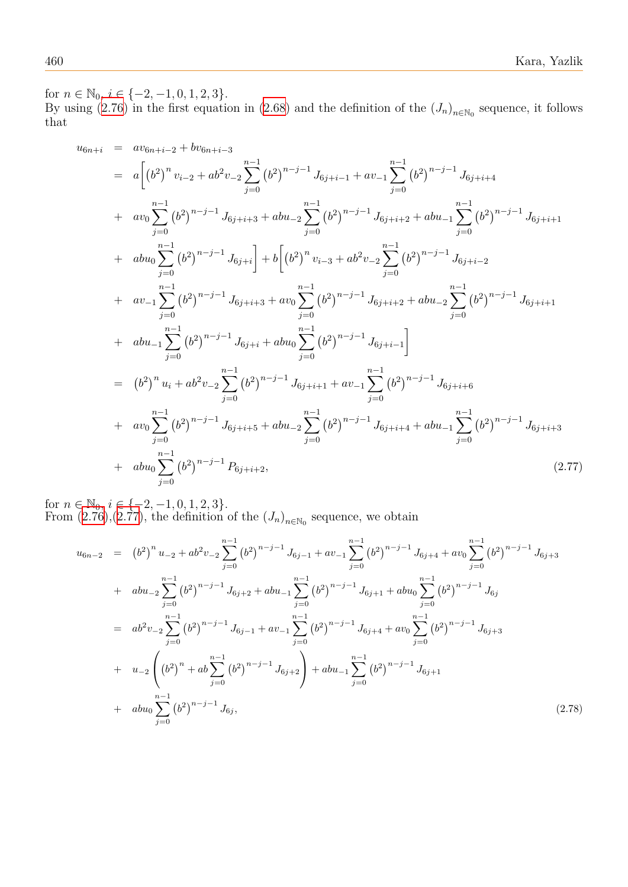for  $n \in \mathbb{N}_0$ ,  $i \in \{-2, -1, 0, 1, 2, 3\}.$ 

By using (2.76) in the first equation in (2.68) and the definition of the  $(J_n)_{n \in \mathbb{N}_0}$  sequence, it follows that

$$
u_{6n+i} = av_{6n+i-2} + bv_{6n+i-3}
$$
  
\n
$$
= a \left[ (b^2)^n v_{i-2} + ab^2 v_{-2} \sum_{j=0}^{n-1} (b^2)^{n-j-1} J_{6j+i-1} + av_{-1} \sum_{j=0}^{n-1} (b^2)^{n-j-1} J_{6j+i+4} + av_0 \sum_{j=0}^{n-1} (b^2)^{n-j-1} J_{6j+i+3} + abu_{-2} \sum_{j=0}^{n-1} (b^2)^{n-j-1} J_{6j+i+2} + abu_{-1} \sum_{j=0}^{n-1} (b^2)^{n-j-1} J_{6j+i+1} + abu_0 \sum_{j=0}^{n-1} (b^2)^{n-j-1} J_{6j+i} \right] + b \left[ (b^2)^n v_{i-3} + ab^2 v_{-2} \sum_{j=0}^{n-1} (b^2)^{n-j-1} J_{6j+i-2} + av_{-1} \sum_{j=0}^{n-1} (b^2)^{n-j-1} J_{6j+i+3} + av_0 \sum_{j=0}^{n-1} (b^2)^{n-j-1} J_{6j+i+2} + abu_{-2} \sum_{j=0}^{n-1} (b^2)^{n-j-1} J_{6j+i+1} + abu_{-1} \sum_{j=0}^{n-1} (b^2)^{n-j-1} J_{6j+i} + abu_0 \sum_{j=0}^{n-1} (b^2)^{n-j-1} J_{6j+i-1} \right]
$$
  
\n
$$
= (b^2)^n u_i + ab^2 v_{-2} \sum_{j=0}^{n-1} (b^2)^{n-j-1} J_{6j+i+1} + av_{-1} \sum_{j=0}^{n-1} (b^2)^{n-j-1} J_{6j+i+6} + av_0 \sum_{j=0}^{n-1} (b^2)^{n-j-1} J_{6j+i+5} + abu_{-2} \sum_{j=0}^{n-1} (b^2)^{n-j-1} J_{6j+i+4} + abu_{-1} \sum_{j=0}^{n-1} (b^2)^{n-j-1} J_{6j+i+3}
$$
  
\n
$$
+ av_0 \sum_{j=0}^{n-1} (b^2)^
$$

for  $n \in \mathbb{N}_0$ ,  $i \in \{-2, -1, 0, 1, 2, 3\}.$ From  $(2.76),(2.77)$ , the definition of the  $(J_n)_{n \in \mathbb{N}_0}$  sequence, we obtain

<span id="page-13-0"></span>
$$
u_{6n-2} = (b^2)^n u_{-2} + ab^2 v_{-2} \sum_{j=0}^{n-1} (b^2)^{n-j-1} J_{6j-1} + av_{-1} \sum_{j=0}^{n-1} (b^2)^{n-j-1} J_{6j+4} + av_0 \sum_{j=0}^{n-1} (b^2)^{n-j-1} J_{6j+3}
$$
  
+  $abu_{-2} \sum_{j=0}^{n-1} (b^2)^{n-j-1} J_{6j+2} + abu_{-1} \sum_{j=0}^{n-1} (b^2)^{n-j-1} J_{6j+1} + abu_0 \sum_{j=0}^{n-1} (b^2)^{n-j-1} J_{6j}$   
=  $ab^2 v_{-2} \sum_{j=0}^{n-1} (b^2)^{n-j-1} J_{6j-1} + av_{-1} \sum_{j=0}^{n-1} (b^2)^{n-j-1} J_{6j+4} + av_0 \sum_{j=0}^{n-1} (b^2)^{n-j-1} J_{6j+3}$   
+  $u_{-2} \left( (b^2)^n + ab \sum_{j=0}^{n-1} (b^2)^{n-j-1} J_{6j+2} \right) + abu_{-1} \sum_{j=0}^{n-1} (b^2)^{n-j-1} J_{6j+1}$   
+  $abu_0 \sum_{j=0}^{n-1} (b^2)^{n-j-1} J_{6j}$ , (2.78)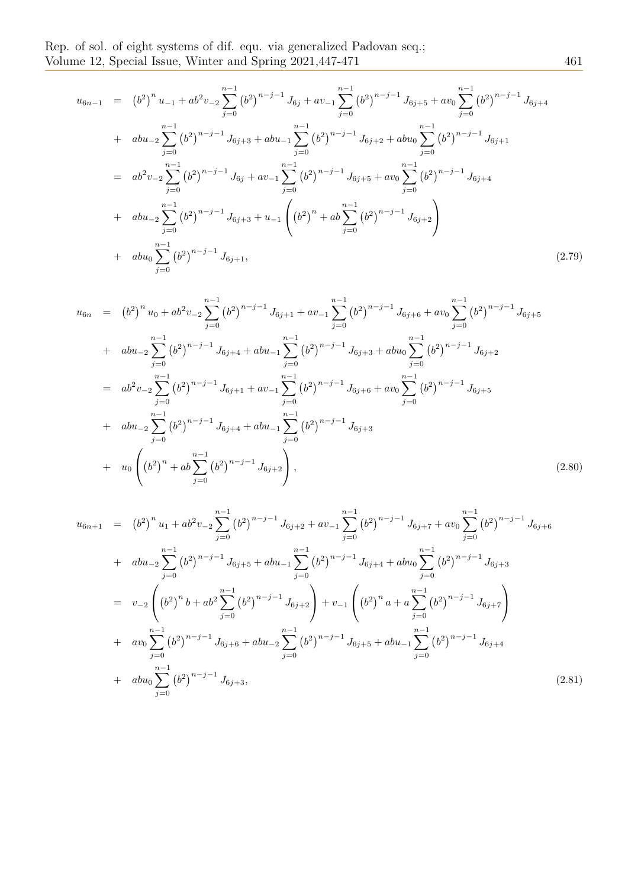$$
u_{6n-1} = (b^2)^n u_{-1} + ab^2 v_{-2} \sum_{j=0}^{n-1} (b^2)^{n-j-1} J_{6j} + av_{-1} \sum_{j=0}^{n-1} (b^2)^{n-j-1} J_{6j+5} + av_0 \sum_{j=0}^{n-1} (b^2)^{n-j-1} J_{6j+4}
$$
  
+ 
$$
abu_{-2} \sum_{j=0}^{n-1} (b^2)^{n-j-1} J_{6j+3} + abu_{-1} \sum_{j=0}^{n-1} (b^2)^{n-j-1} J_{6j+2} + abu_0 \sum_{j=0}^{n-1} (b^2)^{n-j-1} J_{6j+1}
$$
  
= 
$$
ab^2 v_{-2} \sum_{j=0}^{n-1} (b^2)^{n-j-1} J_{6j} + av_{-1} \sum_{j=0}^{n-1} (b^2)^{n-j-1} J_{6j+5} + av_0 \sum_{j=0}^{n-1} (b^2)^{n-j-1} J_{6j+4}
$$
  
+ 
$$
abu_{-2} \sum_{j=0}^{n-1} (b^2)^{n-j-1} J_{6j+3} + u_{-1} \left( (b^2)^n + ab \sum_{j=0}^{n-1} (b^2)^{n-j-1} J_{6j+2} \right)
$$
  
+ 
$$
abu_0 \sum_{j=0}^{n-1} (b^2)^{n-j-1} J_{6j+1},
$$
(2.79)

$$
u_{6n} = (b^2)^n u_0 + ab^2 v_{-2} \sum_{j=0}^{n-1} (b^2)^{n-j-1} J_{6j+1} + av_{-1} \sum_{j=0}^{n-1} (b^2)^{n-j-1} J_{6j+6} + av_0 \sum_{j=0}^{n-1} (b^2)^{n-j-1} J_{6j+5}
$$
  
+  $abu_{-2} \sum_{j=0}^{n-1} (b^2)^{n-j-1} J_{6j+4} + abu_{-1} \sum_{j=0}^{n-1} (b^2)^{n-j-1} J_{6j+3} + abu_0 \sum_{j=0}^{n-1} (b^2)^{n-j-1} J_{6j+2}$   
=  $ab^2 v_{-2} \sum_{j=0}^{n-1} (b^2)^{n-j-1} J_{6j+1} + av_{-1} \sum_{j=0}^{n-1} (b^2)^{n-j-1} J_{6j+6} + av_0 \sum_{j=0}^{n-1} (b^2)^{n-j-1} J_{6j+5}$   
+  $abu_{-2} \sum_{j=0}^{n-1} (b^2)^{n-j-1} J_{6j+4} + abu_{-1} \sum_{j=0}^{n-1} (b^2)^{n-j-1} J_{6j+3}$   
+  $u_0 \left( (b^2)^n + ab \sum_{j=0}^{n-1} (b^2)^{n-j-1} J_{6j+2} \right),$  (2.80)

$$
u_{6n+1} = (b^2)^n u_1 + ab^2 v_{-2} \sum_{j=0}^{n-1} (b^2)^{n-j-1} J_{6j+2} + av_{-1} \sum_{j=0}^{n-1} (b^2)^{n-j-1} J_{6j+7} + av_0 \sum_{j=0}^{n-1} (b^2)^{n-j-1} J_{6j+6}
$$
  
+ 
$$
abu_{-2} \sum_{j=0}^{n-1} (b^2)^{n-j-1} J_{6j+5} + abu_{-1} \sum_{j=0}^{n-1} (b^2)^{n-j-1} J_{6j+4} + abu_0 \sum_{j=0}^{n-1} (b^2)^{n-j-1} J_{6j+3}
$$
  
= 
$$
v_{-2} \left( (b^2)^n b + ab^2 \sum_{j=0}^{n-1} (b^2)^{n-j-1} J_{6j+2} \right) + v_{-1} \left( (b^2)^n a + a \sum_{j=0}^{n-1} (b^2)^{n-j-1} J_{6j+7} \right)
$$
  
+ 
$$
av_0 \sum_{j=0}^{n-1} (b^2)^{n-j-1} J_{6j+6} + abu_{-2} \sum_{j=0}^{n-1} (b^2)^{n-j-1} J_{6j+5} + abu_{-1} \sum_{j=0}^{n-1} (b^2)^{n-j-1} J_{6j+4}
$$
  
+ 
$$
abu_0 \sum_{j=0}^{n-1} (b^2)^{n-j-1} J_{6j+3}, \qquad (2.81)
$$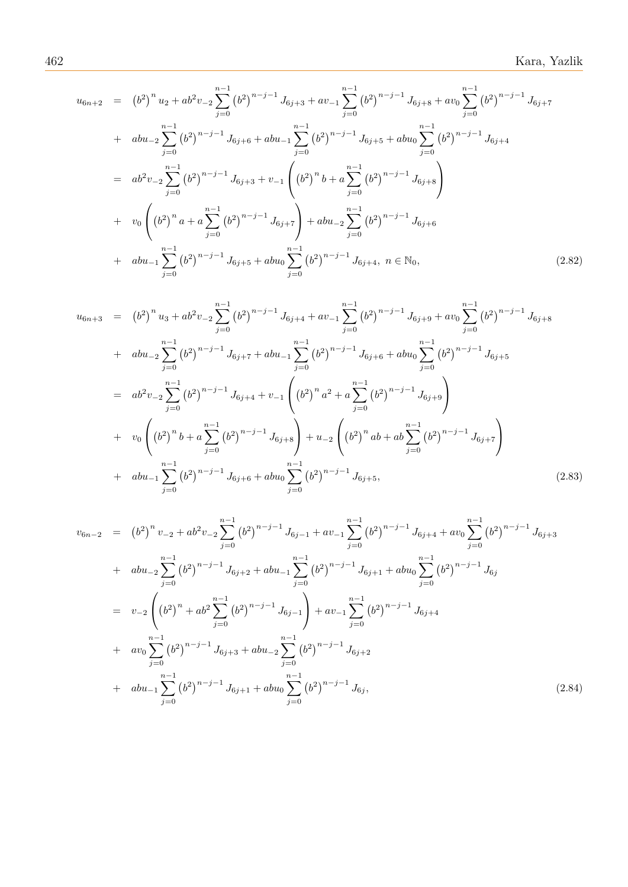$$
u_{6n+2} = (b^2)^n u_2 + ab^2 v_{-2} \sum_{j=0}^{n-1} (b^2)^{n-j-1} J_{6j+3} + av_{-1} \sum_{j=0}^{n-1} (b^2)^{n-j-1} J_{6j+8} + av_0 \sum_{j=0}^{n-1} (b^2)^{n-j-1} J_{6j+7} + abu_{-2} \sum_{j=0}^{n-1} (b^2)^{n-j-1} J_{6j+6} + abu_{-1} \sum_{j=0}^{n-1} (b^2)^{n-j-1} J_{6j+5} + abu_0 \sum_{j=0}^{n-1} (b^2)^{n-j-1} J_{6j+4} = ab^2 v_{-2} \sum_{j=0}^{n-1} (b^2)^{n-j-1} J_{6j+3} + v_{-1} \left( (b^2)^n b + a \sum_{j=0}^{n-1} (b^2)^{n-j-1} J_{6j+8} \right) + v_0 \left( (b^2)^n a + a \sum_{j=0}^{n-1} (b^2)^{n-j-1} J_{6j+7} \right) + abu_{-2} \sum_{j=0}^{n-1} (b^2)^{n-j-1} J_{6j+6} + abu_{-1} \sum_{j=0}^{n-1} (b^2)^{n-j-1} J_{6j+5} + abu_0 \sum_{j=0}^{n-1} (b^2)^{n-j-1} J_{6j+4}, n \in \mathbb{N}_0,
$$
\n(2.82)

$$
u_{6n+3} = (b^2)^n u_3 + ab^2 v_{-2} \sum_{j=0}^{n-1} (b^2)^{n-j-1} J_{6j+4} + av_{-1} \sum_{j=0}^{n-1} (b^2)^{n-j-1} J_{6j+9} + av_0 \sum_{j=0}^{n-1} (b^2)^{n-j-1} J_{6j+8}
$$
  
+  $abu_{-2} \sum_{j=0}^{n-1} (b^2)^{n-j-1} J_{6j+7} + abu_{-1} \sum_{j=0}^{n-1} (b^2)^{n-j-1} J_{6j+6} + abu_0 \sum_{j=0}^{n-1} (b^2)^{n-j-1} J_{6j+5}$   
=  $ab^2 v_{-2} \sum_{j=0}^{n-1} (b^2)^{n-j-1} J_{6j+4} + v_{-1} \left( (b^2)^n a^2 + a \sum_{j=0}^{n-1} (b^2)^{n-j-1} J_{6j+9} \right)$   
+  $v_0 \left( (b^2)^n b + a \sum_{j=0}^{n-1} (b^2)^{n-j-1} J_{6j+8} \right) + u_{-2} \left( (b^2)^n ab + ab \sum_{j=0}^{n-1} (b^2)^{n-j-1} J_{6j+7} \right)$   
+  $abu_{-1} \sum_{j=0}^{n-1} (b^2)^{n-j-1} J_{6j+6} + abu_0 \sum_{j=0}^{n-1} (b^2)^{n-j-1} J_{6j+5},$  (2.83)

$$
v_{6n-2} = (b^2)^n v_{-2} + ab^2 v_{-2} \sum_{j=0}^{n-1} (b^2)^{n-j-1} J_{6j-1} + av_{-1} \sum_{j=0}^{n-1} (b^2)^{n-j-1} J_{6j+4} + av_0 \sum_{j=0}^{n-1} (b^2)^{n-j-1} J_{6j+3}
$$
  
+  $abu_{-2} \sum_{j=0}^{n-1} (b^2)^{n-j-1} J_{6j+2} + abu_{-1} \sum_{j=0}^{n-1} (b^2)^{n-j-1} J_{6j+1} + abu_0 \sum_{j=0}^{n-1} (b^2)^{n-j-1} J_{6j}$   
=  $v_{-2} \left( (b^2)^n + ab^2 \sum_{j=0}^{n-1} (b^2)^{n-j-1} J_{6j-1} \right) + av_{-1} \sum_{j=0}^{n-1} (b^2)^{n-j-1} J_{6j+4}$   
+  $av_0 \sum_{j=0}^{n-1} (b^2)^{n-j-1} J_{6j+3} + abu_{-2} \sum_{j=0}^{n-1} (b^2)^{n-j-1} J_{6j+2}$   
+  $abu_{-1} \sum_{j=0}^{n-1} (b^2)^{n-j-1} J_{6j+1} + abu_0 \sum_{j=0}^{n-1} (b^2)^{n-j-1} J_{6j},$  (2.84)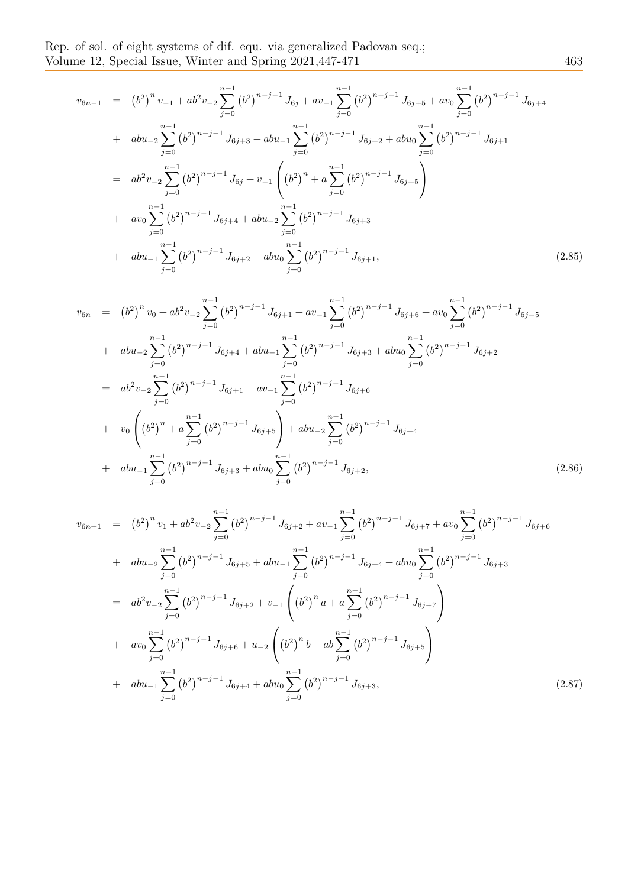$$
v_{6n-1} = (b^2)^n v_{-1} + ab^2 v_{-2} \sum_{j=0}^{n-1} (b^2)^{n-j-1} J_{6j} + av_{-1} \sum_{j=0}^{n-1} (b^2)^{n-j-1} J_{6j+5} + av_0 \sum_{j=0}^{n-1} (b^2)^{n-j-1} J_{6j+4}
$$
  
+ 
$$
abu_{-2} \sum_{j=0}^{n-1} (b^2)^{n-j-1} J_{6j+3} + abu_{-1} \sum_{j=0}^{n-1} (b^2)^{n-j-1} J_{6j+2} + abu_0 \sum_{j=0}^{n-1} (b^2)^{n-j-1} J_{6j+1}
$$
  
= 
$$
ab^2 v_{-2} \sum_{j=0}^{n-1} (b^2)^{n-j-1} J_{6j} + v_{-1} \left( (b^2)^n + a \sum_{j=0}^{n-1} (b^2)^{n-j-1} J_{6j+5} \right)
$$
  
+ 
$$
av_0 \sum_{j=0}^{n-1} (b^2)^{n-j-1} J_{6j+4} + abu_{-2} \sum_{j=0}^{n-1} (b^2)^{n-j-1} J_{6j+3}
$$
  
+ 
$$
abu_{-1} \sum_{j=0}^{n-1} (b^2)^{n-j-1} J_{6j+2} + abu_0 \sum_{j=0}^{n-1} (b^2)^{n-j-1} J_{6j+1},
$$
(2.85)

$$
v_{6n} = (b^2)^n v_0 + ab^2 v_{-2} \sum_{j=0}^{n-1} (b^2)^{n-j-1} J_{6j+1} + av_{-1} \sum_{j=0}^{n-1} (b^2)^{n-j-1} J_{6j+6} + av_0 \sum_{j=0}^{n-1} (b^2)^{n-j-1} J_{6j+5}
$$
  
+  $abu_{-2} \sum_{j=0}^{n-1} (b^2)^{n-j-1} J_{6j+4} + abu_{-1} \sum_{j=0}^{n-1} (b^2)^{n-j-1} J_{6j+3} + abu_0 \sum_{j=0}^{n-1} (b^2)^{n-j-1} J_{6j+2}$   
=  $ab^2 v_{-2} \sum_{j=0}^{n-1} (b^2)^{n-j-1} J_{6j+1} + av_{-1} \sum_{j=0}^{n-1} (b^2)^{n-j-1} J_{6j+6}$   
+  $v_0 \left( (b^2)^n + a \sum_{j=0}^{n-1} (b^2)^{n-j-1} J_{6j+5} \right) + abu_{-2} \sum_{j=0}^{n-1} (b^2)^{n-j-1} J_{6j+4}$   
+  $abu_{-1} \sum_{j=0}^{n-1} (b^2)^{n-j-1} J_{6j+3} + abu_0 \sum_{j=0}^{n-1} (b^2)^{n-j-1} J_{6j+2},$  (2.86)

$$
v_{6n+1} = (b^2)^n v_1 + ab^2 v_{-2} \sum_{j=0}^{n-1} (b^2)^{n-j-1} J_{6j+2} + av_{-1} \sum_{j=0}^{n-1} (b^2)^{n-j-1} J_{6j+7} + av_0 \sum_{j=0}^{n-1} (b^2)^{n-j-1} J_{6j+6}
$$
  
+  $abu_{-2} \sum_{j=0}^{n-1} (b^2)^{n-j-1} J_{6j+5} + abu_{-1} \sum_{j=0}^{n-1} (b^2)^{n-j-1} J_{6j+4} + abu_0 \sum_{j=0}^{n-1} (b^2)^{n-j-1} J_{6j+3}$   
=  $ab^2 v_{-2} \sum_{j=0}^{n-1} (b^2)^{n-j-1} J_{6j+2} + v_{-1} \left( (b^2)^n a + a \sum_{j=0}^{n-1} (b^2)^{n-j-1} J_{6j+7} \right)$   
+  $av_0 \sum_{j=0}^{n-1} (b^2)^{n-j-1} J_{6j+6} + u_{-2} \left( (b^2)^n b + ab \sum_{j=0}^{n-1} (b^2)^{n-j-1} J_{6j+5} \right)$   
+  $abu_{-1} \sum_{j=0}^{n-1} (b^2)^{n-j-1} J_{6j+4} + abu_0 \sum_{j=0}^{n-1} (b^2)^{n-j-1} J_{6j+3},$  (2.87)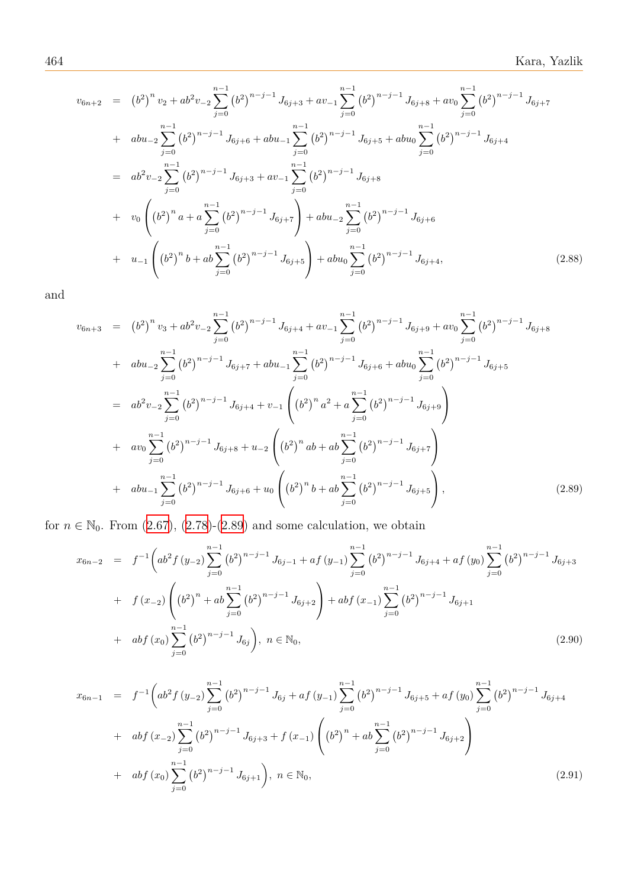$$
v_{6n+2} = (b^2)^n v_2 + ab^2 v_{-2} \sum_{j=0}^{n-1} (b^2)^{n-j-1} J_{6j+3} + av_{-1} \sum_{j=0}^{n-1} (b^2)^{n-j-1} J_{6j+8} + av_0 \sum_{j=0}^{n-1} (b^2)^{n-j-1} J_{6j+7}
$$
  
+ 
$$
abu_{-2} \sum_{j=0}^{n-1} (b^2)^{n-j-1} J_{6j+6} + abu_{-1} \sum_{j=0}^{n-1} (b^2)^{n-j-1} J_{6j+5} + abu_0 \sum_{j=0}^{n-1} (b^2)^{n-j-1} J_{6j+4}
$$
  
= 
$$
ab^2 v_{-2} \sum_{j=0}^{n-1} (b^2)^{n-j-1} J_{6j+3} + av_{-1} \sum_{j=0}^{n-1} (b^2)^{n-j-1} J_{6j+8}
$$
  
+ 
$$
v_0 \left( (b^2)^n a + a \sum_{j=0}^{n-1} (b^2)^{n-j-1} J_{6j+7} \right) + abu_{-2} \sum_{j=0}^{n-1} (b^2)^{n-j-1} J_{6j+6}
$$
  
+ 
$$
u_{-1} \left( (b^2)^n b + ab \sum_{j=0}^{n-1} (b^2)^{n-j-1} J_{6j+5} \right) + abu_0 \sum_{j=0}^{n-1} (b^2)^{n-j-1} J_{6j+4}, \qquad (2.88)
$$

<span id="page-17-0"></span>
$$
v_{6n+3} = (b^2)^n v_3 + ab^2 v_{-2} \sum_{j=0}^{n-1} (b^2)^{n-j-1} J_{6j+4} + av_{-1} \sum_{j=0}^{n-1} (b^2)^{n-j-1} J_{6j+9} + av_0 \sum_{j=0}^{n-1} (b^2)^{n-j-1} J_{6j+8}
$$
  
+  $abu_{-2} \sum_{j=0}^{n-1} (b^2)^{n-j-1} J_{6j+7} + abu_{-1} \sum_{j=0}^{n-1} (b^2)^{n-j-1} J_{6j+6} + abu_0 \sum_{j=0}^{n-1} (b^2)^{n-j-1} J_{6j+5}$   
=  $ab^2 v_{-2} \sum_{j=0}^{n-1} (b^2)^{n-j-1} J_{6j+4} + v_{-1} \left( (b^2)^n a^2 + a \sum_{j=0}^{n-1} (b^2)^{n-j-1} J_{6j+9} \right)$   
+  $av_0 \sum_{j=0}^{n-1} (b^2)^{n-j-1} J_{6j+8} + u_{-2} \left( (b^2)^n ab + ab \sum_{j=0}^{n-1} (b^2)^{n-j-1} J_{6j+7} \right)$   
+  $abu_{-1} \sum_{j=0}^{n-1} (b^2)^{n-j-1} J_{6j+6} + u_0 \left( (b^2)^n b + ab \sum_{j=0}^{n-1} (b^2)^{n-j-1} J_{6j+5} \right),$  (2.89)

for  $n \in \mathbb{N}_0$ . From  $(2.67)$ ,  $(2.78)-(2.89)$  and some calculation, we obtain

$$
x_{6n-2} = f^{-1} \left( ab^2 f \left( y_{-2} \right) \sum_{j=0}^{n-1} \left( b^2 \right)^{n-j-1} J_{6j-1} + af \left( y_{-1} \right) \sum_{j=0}^{n-1} \left( b^2 \right)^{n-j-1} J_{6j+4} + af \left( y_0 \right) \sum_{j=0}^{n-1} \left( b^2 \right)^{n-j-1} J_{6j+3}
$$
  
+  $f \left( x_{-2} \right) \left( \left( b^2 \right)^n + ab \sum_{j=0}^{n-1} \left( b^2 \right)^{n-j-1} J_{6j+2} \right) + ab f \left( x_{-1} \right) \sum_{j=0}^{n-1} \left( b^2 \right)^{n-j-1} J_{6j+1}$   
+  $ab f \left( x_0 \right) \sum_{j=0}^{n-1} \left( b^2 \right)^{n-j-1} J_{6j} \right), \ n \in \mathbb{N}_0,$  (2.90)

$$
x_{6n-1} = f^{-1} \left( ab^2 f (y_{-2}) \sum_{j=0}^{n-1} (b^2)^{n-j-1} J_{6j} + af (y_{-1}) \sum_{j=0}^{n-1} (b^2)^{n-j-1} J_{6j+5} + af (y_0) \sum_{j=0}^{n-1} (b^2)^{n-j-1} J_{6j+4} + abf (x_{-2}) \sum_{j=0}^{n-1} (b^2)^{n-j-1} J_{6j+3} + f (x_{-1}) \left( (b^2)^n + ab \sum_{j=0}^{n-1} (b^2)^{n-j-1} J_{6j+2} \right) + abf (x_0) \sum_{j=0}^{n-1} (b^2)^{n-j-1} J_{6j+1} \right), \ n \in \mathbb{N}_0,
$$
\n(2.91)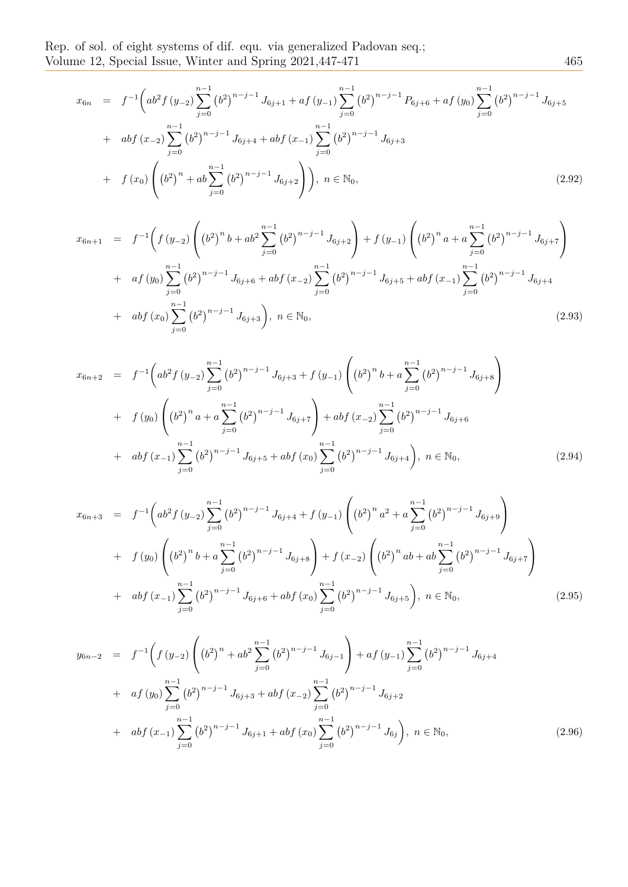$$
x_{6n} = f^{-1} \left( ab^2 f \left( y_{-2} \right) \sum_{j=0}^{n-1} \left( b^2 \right)^{n-j-1} J_{6j+1} + af \left( y_{-1} \right) \sum_{j=0}^{n-1} \left( b^2 \right)^{n-j-1} P_{6j+6} + af \left( y_0 \right) \sum_{j=0}^{n-1} \left( b^2 \right)^{n-j-1} J_{6j+5}
$$
  
+ 
$$
ab f \left( x_{-2} \right) \sum_{j=0}^{n-1} \left( b^2 \right)^{n-j-1} J_{6j+4} + ab f \left( x_{-1} \right) \sum_{j=0}^{n-1} \left( b^2 \right)^{n-j-1} J_{6j+3}
$$
  
+ 
$$
f \left( x_0 \right) \left( \left( b^2 \right)^n + ab \sum_{j=0}^{n-1} \left( b^2 \right)^{n-j-1} J_{6j+2} \right) \right), \ n \in \mathbb{N}_0,
$$
 (2.92)

$$
x_{6n+1} = f^{-1}\left(f\left(y_{-2}\right)\left(\left(b^{2}\right)^{n} b + ab^{2} \sum_{j=0}^{n-1} \left(b^{2}\right)^{n-j-1} J_{6j+2}\right) + f\left(y_{-1}\right)\left(\left(b^{2}\right)^{n} a + a \sum_{j=0}^{n-1} \left(b^{2}\right)^{n-j-1} J_{6j+7}\right) + af\left(y_{0}\right) \sum_{j=0}^{n-1} \left(b^{2}\right)^{n-j-1} J_{6j+6} + abf\left(x_{-2}\right) \sum_{j=0}^{n-1} \left(b^{2}\right)^{n-j-1} J_{6j+5} + abf\left(x_{-1}\right) \sum_{j=0}^{n-1} \left(b^{2}\right)^{n-j-1} J_{6j+4} + abf\left(x_{0}\right) \sum_{j=0}^{n-1} \left(b^{2}\right)^{n-j-1} J_{6j+3}\right), \ n \in \mathbb{N}_{0}, \tag{2.93}
$$

$$
x_{6n+2} = f^{-1}\left(ab^2 f (y_{-2}) \sum_{j=0}^{n-1} (b^2)^{n-j-1} J_{6j+3} + f (y_{-1}) \left( (b^2)^n b + a \sum_{j=0}^{n-1} (b^2)^{n-j-1} J_{6j+8} \right) + f (y_0) \left( (b^2)^n a + a \sum_{j=0}^{n-1} (b^2)^{n-j-1} J_{6j+7} \right) + abf (x_{-2}) \sum_{j=0}^{n-1} (b^2)^{n-j-1} J_{6j+6} + abf (x_{-1}) \sum_{j=0}^{n-1} (b^2)^{n-j-1} J_{6j+5} + abf (x_0) \sum_{j=0}^{n-1} (b^2)^{n-j-1} J_{6j+4} \right), n \in \mathbb{N}_0,
$$
\n(2.94)

$$
x_{6n+3} = f^{-1} \left( ab^2 f (y_{-2}) \sum_{j=0}^{n-1} (b^2)^{n-j-1} J_{6j+4} + f (y_{-1}) \left( (b^2)^n a^2 + a \sum_{j=0}^{n-1} (b^2)^{n-j-1} J_{6j+9} \right) + f (y_{0}) \left( (b^2)^n b + a \sum_{j=0}^{n-1} (b^2)^{n-j-1} J_{6j+8} \right) + f (x_{-2}) \left( (b^2)^n ab + ab \sum_{j=0}^{n-1} (b^2)^{n-j-1} J_{6j+7} \right) + ab f (x_{-1}) \sum_{j=0}^{n-1} (b^2)^{n-j-1} J_{6j+6} + ab f (x_0) \sum_{j=0}^{n-1} (b^2)^{n-j-1} J_{6j+5} \right), \ n \in \mathbb{N}_0,
$$
\n(2.95)

$$
y_{6n-2} = f^{-1}\left(f\left(y_{-2}\right)\left(\left(b^{2}\right)^{n}+ab^{2}\sum_{j=0}^{n-1}\left(b^{2}\right)^{n-j-1}J_{6j-1}\right)+af\left(y_{-1}\right)\sum_{j=0}^{n-1}\left(b^{2}\right)^{n-j-1}J_{6j+4}
$$
  
+ af\left(y\_{0}\right)\sum\_{j=0}^{n-1}\left(b^{2}\right)^{n-j-1}J\_{6j+3}+abf\left(x\_{-2}\right)\sum\_{j=0}^{n-1}\left(b^{2}\right)^{n-j-1}J\_{6j+2}  
+ abf\left(x\_{-1}\right)\sum\_{j=0}^{n-1}\left(b^{2}\right)^{n-j-1}J\_{6j+1}+abf\left(x\_{0}\right)\sum\_{j=0}^{n-1}\left(b^{2}\right)^{n-j-1}J\_{6j}\right), n \in \mathbb{N}\_{0}, \tag{2.96}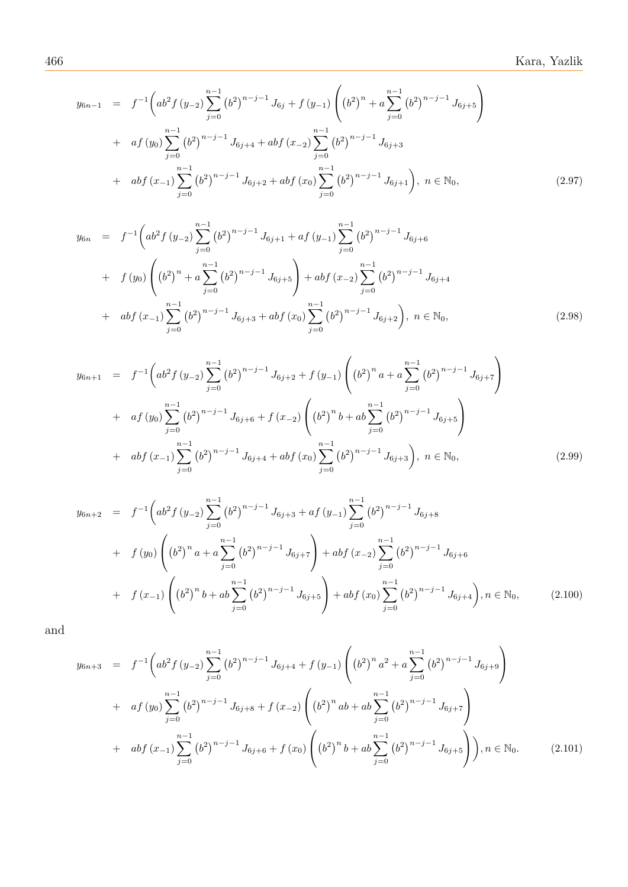$$
y_{6n-1} = f^{-1} \left( ab^2 f (y_{-2}) \sum_{j=0}^{n-1} (b^2)^{n-j-1} J_{6j} + f (y_{-1}) \left( (b^2)^n + a \sum_{j=0}^{n-1} (b^2)^{n-j-1} J_{6j+5} \right) + af (y_0) \sum_{j=0}^{n-1} (b^2)^{n-j-1} J_{6j+4} + abf (x_{-2}) \sum_{j=0}^{n-1} (b^2)^{n-j-1} J_{6j+3} + abf (x_{-1}) \sum_{j=0}^{n-1} (b^2)^{n-j-1} J_{6j+2} + abf (x_0) \sum_{j=0}^{n-1} (b^2)^{n-j-1} J_{6j+1} \right), \ n \in \mathbb{N}_0,
$$
\n(2.97)

$$
y_{6n} = f^{-1} \left( ab^2 f (y_{-2}) \sum_{j=0}^{n-1} (b^2)^{n-j-1} J_{6j+1} + af (y_{-1}) \sum_{j=0}^{n-1} (b^2)^{n-j-1} J_{6j+6} \right)
$$
  
+  $f (y_0) \left( (b^2)^n + a \sum_{j=0}^{n-1} (b^2)^{n-j-1} J_{6j+5} \right) + ab f (x_{-2}) \sum_{j=0}^{n-1} (b^2)^{n-j-1} J_{6j+4}$   
+  $ab f (x_{-1}) \sum_{j=0}^{n-1} (b^2)^{n-j-1} J_{6j+3} + ab f (x_0) \sum_{j=0}^{n-1} (b^2)^{n-j-1} J_{6j+2} \right), n \in \mathbb{N}_0,$  (2.98)

$$
y_{6n+1} = f^{-1}\left(ab^2 f (y_{-2}) \sum_{j=0}^{n-1} (b^2)^{n-j-1} J_{6j+2} + f (y_{-1}) \left( (b^2)^n a + a \sum_{j=0}^{n-1} (b^2)^{n-j-1} J_{6j+7} \right) + af (y_0) \sum_{j=0}^{n-1} (b^2)^{n-j-1} J_{6j+6} + f (x_{-2}) \left( (b^2)^n b + ab \sum_{j=0}^{n-1} (b^2)^{n-j-1} J_{6j+5} \right) + abf (x_{-1}) \sum_{j=0}^{n-1} (b^2)^{n-j-1} J_{6j+4} + abf (x_0) \sum_{j=0}^{n-1} (b^2)^{n-j-1} J_{6j+3} \right), \ n \in \mathbb{N}_0,
$$
\n(2.99)

$$
y_{6n+2} = f^{-1} \left( ab^2 f \left( y_{-2} \right) \sum_{j=0}^{n-1} \left( b^2 \right)^{n-j-1} J_{6j+3} + af \left( y_{-1} \right) \sum_{j=0}^{n-1} \left( b^2 \right)^{n-j-1} J_{6j+8}
$$
  
+  $f \left( y_0 \right) \left( \left( b^2 \right)^n a + a \sum_{j=0}^{n-1} \left( b^2 \right)^{n-j-1} J_{6j+7} \right) + ab f \left( x_{-2} \right) \sum_{j=0}^{n-1} \left( b^2 \right)^{n-j-1} J_{6j+6}$   
+  $f \left( x_{-1} \right) \left( \left( b^2 \right)^n b + ab \sum_{j=0}^{n-1} \left( b^2 \right)^{n-j-1} J_{6j+5} \right) + ab f \left( x_0 \right) \sum_{j=0}^{n-1} \left( b^2 \right)^{n-j-1} J_{6j+4} \right), n \in \mathbb{N}_0,$  (2.100)

$$
y_{6n+3} = f^{-1} \left( ab^2 f (y_{-2}) \sum_{j=0}^{n-1} (b^2)^{n-j-1} J_{6j+4} + f (y_{-1}) \left( (b^2)^n a^2 + a \sum_{j=0}^{n-1} (b^2)^{n-j-1} J_{6j+9} \right) \right)
$$
  
+ 
$$
af (y_0) \sum_{j=0}^{n-1} (b^2)^{n-j-1} J_{6j+8} + f (x_{-2}) \left( (b^2)^n ab + ab \sum_{j=0}^{n-1} (b^2)^{n-j-1} J_{6j+7} \right)
$$
  
+ 
$$
ab f (x_{-1}) \sum_{j=0}^{n-1} (b^2)^{n-j-1} J_{6j+6} + f (x_0) \left( (b^2)^n b + ab \sum_{j=0}^{n-1} (b^2)^{n-j-1} J_{6j+5} \right) \right), n \in \mathbb{N}_0.
$$
 (2.101)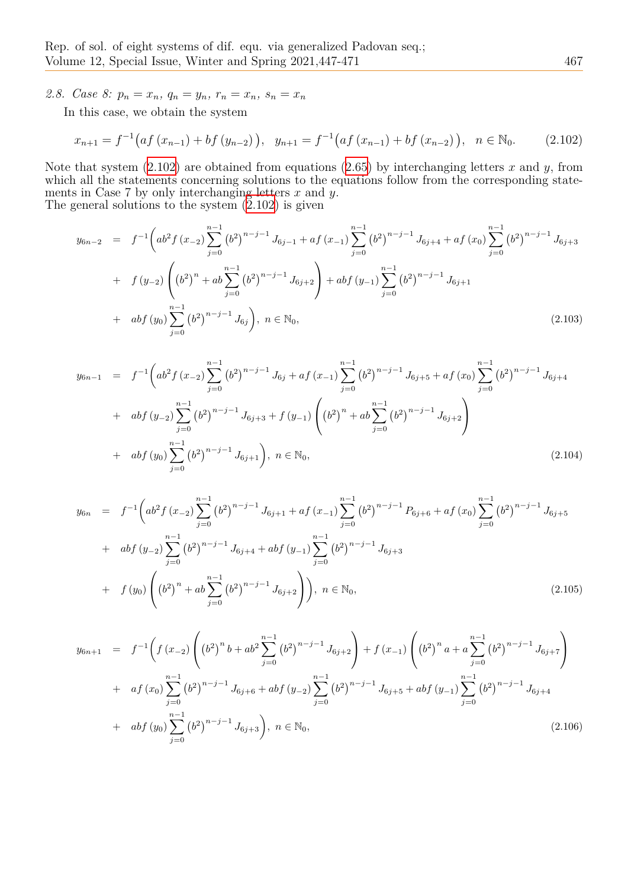2.8. Case 8:  $p_n = x_n$ ,  $q_n = y_n$ ,  $r_n = x_n$ ,  $s_n = x_n$ 

In this case, we obtain the system

$$
x_{n+1} = f^{-1}(af(x_{n-1}) + bf(y_{n-2})), y_{n+1} = f^{-1}(af(x_{n-1}) + bf(x_{n-2})), n \in \mathbb{N}_0.
$$
 (2.102)

<span id="page-20-0"></span>Note that system  $(2.102)$  are obtained from equations  $(2.65)$  by interchanging letters *x* and *y*, from which all the statements concerning solutions to the equations follow from the corresponding statements in Case 7 by only interchanging letters *x* and *y*. The general soluti[ons to](#page-20-0) the system  $(2.102)$  is given

$$
y_{6n-2} = f^{-1} \left( ab^2 f(x_{-2}) \sum_{j=0}^{n-1} (b^2)^{n-j-1} J_{6j-1} + af(x_{-1}) \sum_{j=0}^{n-1} (b^2)^{n-j-1} J_{6j+4} + af(x_0) \sum_{j=0}^{n-1} (b^2)^{n-j-1} J_{6j+3} \right)
$$
  
+  $f(y_{-2}) \left( (b^2)^n + ab \sum_{j=0}^{n-1} (b^2)^{n-j-1} J_{6j+2} \right) + ab f(y_{-1}) \sum_{j=0}^{n-1} (b^2)^{n-j-1} J_{6j+1}$   
+  $ab f(y_0) \sum_{j=0}^{n-1} (b^2)^{n-j-1} J_{6j} \right), n \in \mathbb{N}_0,$  (2.103)

$$
y_{6n-1} = f^{-1} \left( ab^2 f(x_{-2}) \sum_{j=0}^{n-1} (b^2)^{n-j-1} J_{6j} + af(x_{-1}) \sum_{j=0}^{n-1} (b^2)^{n-j-1} J_{6j+5} + af(x_0) \sum_{j=0}^{n-1} (b^2)^{n-j-1} J_{6j+4} \right)
$$
  
+ 
$$
ab f(y_{-2}) \sum_{j=0}^{n-1} (b^2)^{n-j-1} J_{6j+3} + f(y_{-1}) \left( (b^2)^n + ab \sum_{j=0}^{n-1} (b^2)^{n-j-1} J_{6j+2} \right)
$$
  
+ 
$$
ab f(y_0) \sum_{j=0}^{n-1} (b^2)^{n-j-1} J_{6j+1} \right), \ n \in \mathbb{N}_0,
$$
 (2.104)

$$
y_{6n} = f^{-1} \left( ab^2 f(x_{-2}) \sum_{j=0}^{n-1} (b^2)^{n-j-1} J_{6j+1} + af(x_{-1}) \sum_{j=0}^{n-1} (b^2)^{n-j-1} P_{6j+6} + af(x_0) \sum_{j=0}^{n-1} (b^2)^{n-j-1} J_{6j+5} + abf(y_{-2}) \sum_{j=0}^{n-1} (b^2)^{n-j-1} J_{6j+4} + abf(y_{-1}) \sum_{j=0}^{n-1} (b^2)^{n-j-1} J_{6j+3} + f(y_0) \left( (b^2)^n + ab \sum_{j=0}^{n-1} (b^2)^{n-j-1} J_{6j+2} \right) \right), \quad n \in \mathbb{N}_0,
$$
\n(2.105)

$$
y_{6n+1} = f^{-1}\left(f\left(x_{-2}\right)\left(\left(b^{2}\right)^{n} b + ab^{2} \sum_{j=0}^{n-1} \left(b^{2}\right)^{n-j-1} J_{6j+2}\right) + f\left(x_{-1}\right)\left(\left(b^{2}\right)^{n} a + a \sum_{j=0}^{n-1} \left(b^{2}\right)^{n-j-1} J_{6j+7}\right) + af\left(x_{0}\right) \sum_{j=0}^{n-1} \left(b^{2}\right)^{n-j-1} J_{6j+6} + abf\left(y_{-2}\right) \sum_{j=0}^{n-1} \left(b^{2}\right)^{n-j-1} J_{6j+5} + abf\left(y_{-1}\right) \sum_{j=0}^{n-1} \left(b^{2}\right)^{n-j-1} J_{6j+4} + abf\left(y_{0}\right) \sum_{j=0}^{n-1} \left(b^{2}\right)^{n-j-1} J_{6j+3}\right), \quad n \in \mathbb{N}_{0}, \tag{2.106}
$$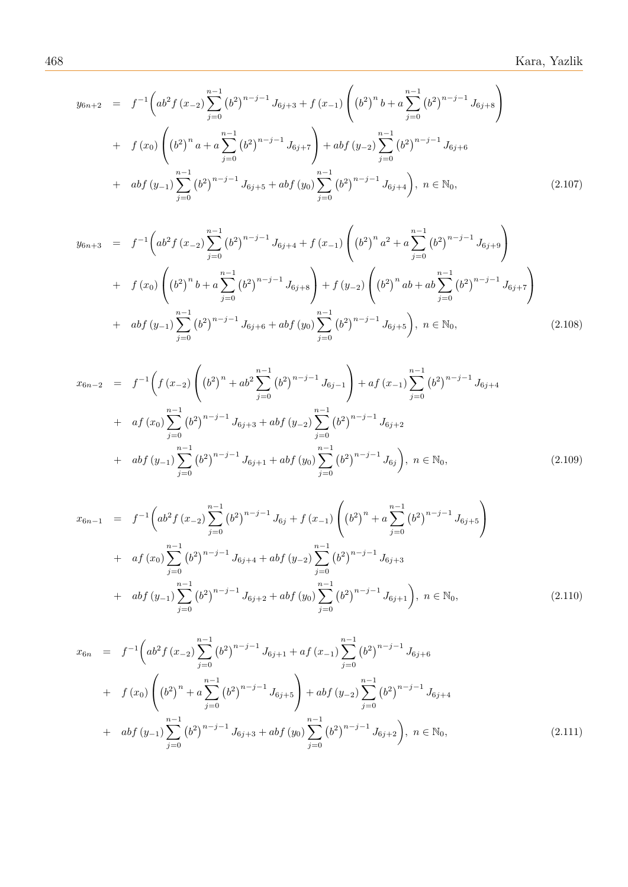$$
y_{6n+2} = f^{-1}\left(ab^2 f (x_{-2}) \sum_{j=0}^{n-1} (b^2)^{n-j-1} J_{6j+3} + f (x_{-1}) \left( (b^2)^n b + a \sum_{j=0}^{n-1} (b^2)^{n-j-1} J_{6j+8} \right) \right)
$$
  
+  $f (x_0) \left( (b^2)^n a + a \sum_{j=0}^{n-1} (b^2)^{n-j-1} J_{6j+7} \right) + ab f (y_{-2}) \sum_{j=0}^{n-1} (b^2)^{n-j-1} J_{6j+6} + ab f (y_{-1}) \sum_{j=0}^{n-1} (b^2)^{n-j-1} J_{6j+5} + ab f (y_0) \sum_{j=0}^{n-1} (b^2)^{n-j-1} J_{6j+4} \right), n \in \mathbb{N}_0,$  (2.107)

$$
y_{6n+3} = f^{-1}\left(ab^2 f (x_{-2}) \sum_{j=0}^{n-1} (b^2)^{n-j-1} J_{6j+4} + f (x_{-1}) \left( (b^2)^n a^2 + a \sum_{j=0}^{n-1} (b^2)^{n-j-1} J_{6j+9} \right) + f (x_0) \left( (b^2)^n b + a \sum_{j=0}^{n-1} (b^2)^{n-j-1} J_{6j+8} \right) + f (y_{-2}) \left( (b^2)^n ab + ab \sum_{j=0}^{n-1} (b^2)^{n-j-1} J_{6j+7} \right) + abf (y_{-1}) \sum_{j=0}^{n-1} (b^2)^{n-j-1} J_{6j+6} + abf (y_0) \sum_{j=0}^{n-1} (b^2)^{n-j-1} J_{6j+5} \right), \ n \in \mathbb{N}_0,
$$
\n(2.108)

$$
x_{6n-2} = f^{-1}\left(f\left(x_{-2}\right)\left(\left(b^{2}\right)^{n}+ab^{2}\sum_{j=0}^{n-1}\left(b^{2}\right)^{n-j-1}J_{6j-1}\right)+af\left(x_{-1}\right)\sum_{j=0}^{n-1}\left(b^{2}\right)^{n-j-1}J_{6j+4} + af\left(x_{0}\right)\sum_{j=0}^{n-1}\left(b^{2}\right)^{n-j-1}J_{6j+3}+abf\left(y_{-2}\right)\sum_{j=0}^{n-1}\left(b^{2}\right)^{n-j-1}J_{6j+2} + abf\left(y_{-1}\right)\sum_{j=0}^{n-1}\left(b^{2}\right)^{n-j-1}J_{6j+1}+abf\left(y_{0}\right)\sum_{j=0}^{n-1}\left(b^{2}\right)^{n-j-1}J_{6j}\right),\ n \in \mathbb{N}_{0}, \tag{2.109}
$$

$$
x_{6n-1} = f^{-1}\left(ab^2 f (x_{-2}) \sum_{j=0}^{n-1} (b^2)^{n-j-1} J_{6j} + f (x_{-1}) \left( (b^2)^n + a \sum_{j=0}^{n-1} (b^2)^{n-j-1} J_{6j+5} \right) + af (x_0) \sum_{j=0}^{n-1} (b^2)^{n-j-1} J_{6j+4} + abf (y_{-2}) \sum_{j=0}^{n-1} (b^2)^{n-j-1} J_{6j+3} + abf (y_{-1}) \sum_{j=0}^{n-1} (b^2)^{n-j-1} J_{6j+2} + abf (y_0) \sum_{j=0}^{n-1} (b^2)^{n-j-1} J_{6j+1} \right), \ n \in \mathbb{N}_0,
$$
\n(2.110)

$$
x_{6n} = f^{-1} \left( ab^2 f(x_{-2}) \sum_{j=0}^{n-1} (b^2)^{n-j-1} J_{6j+1} + af(x_{-1}) \sum_{j=0}^{n-1} (b^2)^{n-j-1} J_{6j+6} \right)
$$
  
+  $f(x_0) \left( (b^2)^n + a \sum_{j=0}^{n-1} (b^2)^{n-j-1} J_{6j+5} \right) + abf(y_{-2}) \sum_{j=0}^{n-1} (b^2)^{n-j-1} J_{6j+4}$   
+  $abf(y_{-1}) \sum_{j=0}^{n-1} (b^2)^{n-j-1} J_{6j+3} + abf(y_0) \sum_{j=0}^{n-1} (b^2)^{n-j-1} J_{6j+2} \right), n \in \mathbb{N}_0,$  (2.111)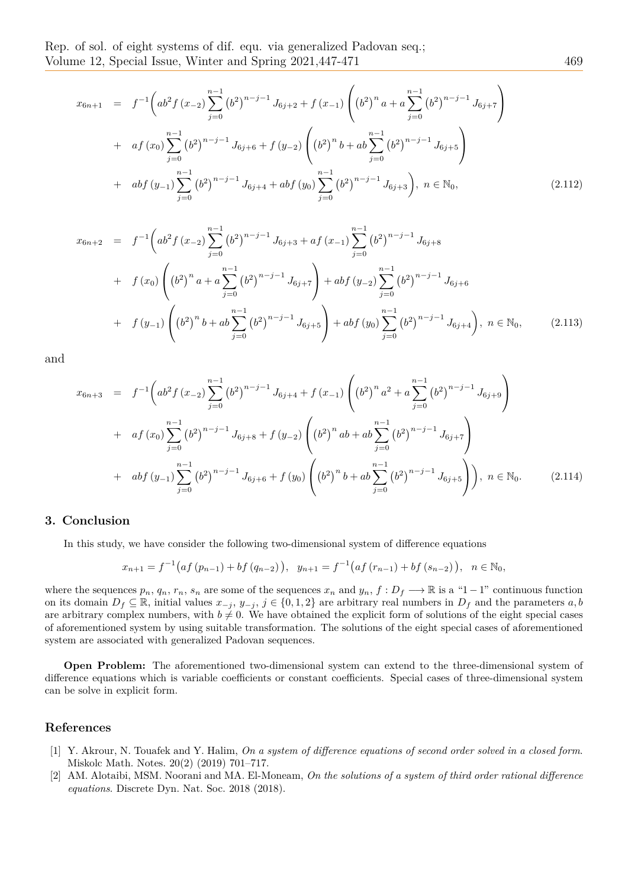$$
x_{6n+1} = f^{-1}\left(ab^2 f (x_{-2}) \sum_{j=0}^{n-1} (b^2)^{n-j-1} J_{6j+2} + f (x_{-1}) \left( (b^2)^n a + a \sum_{j=0}^{n-1} (b^2)^{n-j-1} J_{6j+7} \right) + af (x_0) \sum_{j=0}^{n-1} (b^2)^{n-j-1} J_{6j+6} + f (y_{-2}) \left( (b^2)^n b + ab \sum_{j=0}^{n-1} (b^2)^{n-j-1} J_{6j+5} \right) + abf (y_{-1}) \sum_{j=0}^{n-1} (b^2)^{n-j-1} J_{6j+4} + abf (y_0) \sum_{j=0}^{n-1} (b^2)^{n-j-1} J_{6j+3} \right), \ n \in \mathbb{N}_0,
$$
\n(2.112)

$$
x_{6n+2} = f^{-1} \left( ab^2 f(x_{-2}) \sum_{j=0}^{n-1} (b^2)^{n-j-1} J_{6j+3} + af(x_{-1}) \sum_{j=0}^{n-1} (b^2)^{n-j-1} J_{6j+8} + f(x_0) \left( (b^2)^n a + a \sum_{j=0}^{n-1} (b^2)^{n-j-1} J_{6j+7} \right) + abf(y_{-2}) \sum_{j=0}^{n-1} (b^2)^{n-j-1} J_{6j+6} + f(y_{-1}) \left( (b^2)^n b + ab \sum_{j=0}^{n-1} (b^2)^{n-j-1} J_{6j+5} \right) + abf(y_0) \sum_{j=0}^{n-1} (b^2)^{n-j-1} J_{6j+4} \right), \ n \in \mathbb{N}_0,
$$
\n(2.113)

$$
x_{6n+3} = f^{-1}\left(ab^2 f (x_{-2}) \sum_{j=0}^{n-1} (b^2)^{n-j-1} J_{6j+4} + f (x_{-1}) \left( (b^2)^n a^2 + a \sum_{j=0}^{n-1} (b^2)^{n-j-1} J_{6j+9} \right) + af (x_0) \sum_{j=0}^{n-1} (b^2)^{n-j-1} J_{6j+8} + f (y_{-2}) \left( (b^2)^n ab + ab \sum_{j=0}^{n-1} (b^2)^{n-j-1} J_{6j+7} \right) + abf (y_{-1}) \sum_{j=0}^{n-1} (b^2)^{n-j-1} J_{6j+6} + f (y_0) \left( (b^2)^n b + ab \sum_{j=0}^{n-1} (b^2)^{n-j-1} J_{6j+5} \right) \right), \ n \in \mathbb{N}_0.
$$
 (2.114)

## **3. Conclusion**

In this study, we have consider the following two-dimensional system of difference equations

$$
x_{n+1} = f^{-1}(af(p_{n-1}) + bf(q_{n-2})), y_{n+1} = f^{-1}(af(r_{n-1}) + bf(s_{n-2})), n \in \mathbb{N}_0,
$$

where the sequences  $p_n$ ,  $q_n$ ,  $r_n$ ,  $s_n$  are some of the sequences  $x_n$  and  $y_n$ ,  $f: D_f \longrightarrow \mathbb{R}$  is a "1-1" continuous function on its domain  $D_f \subseteq \mathbb{R}$ , initial values  $x_{-j}, y_{-j}, j \in \{0, 1, 2\}$  are arbitrary real numbers in  $D_f$  and the parameters  $a, b$ are arbitrary complex numbers, with  $b \neq 0$ . We have obtained the explicit form of solutions of the eight special cases of aforementioned system by using suitable transformation. The solutions of the eight special cases of aforementioned system are associated with generalized Padovan sequences.

**Open Problem:** The aforementioned two-dimensional system can extend to the three-dimensional system of difference equations which is variable coefficients or constant coefficients. Special cases of three-dimensional system can be solve in explicit form.

#### **References**

- <span id="page-22-1"></span>[1] Y. Akrour, N. Touafek and Y. Halim, *On a system of difference equations of second order solved in a closed form*. Miskolc Math. Notes. 20(2) (2019) 701–717.
- <span id="page-22-0"></span>[2] AM. Alotaibi, MSM. Noorani and MA. El-Moneam, *On the solutions of a system of third order rational difference equations*. Discrete Dyn. Nat. Soc. 2018 (2018).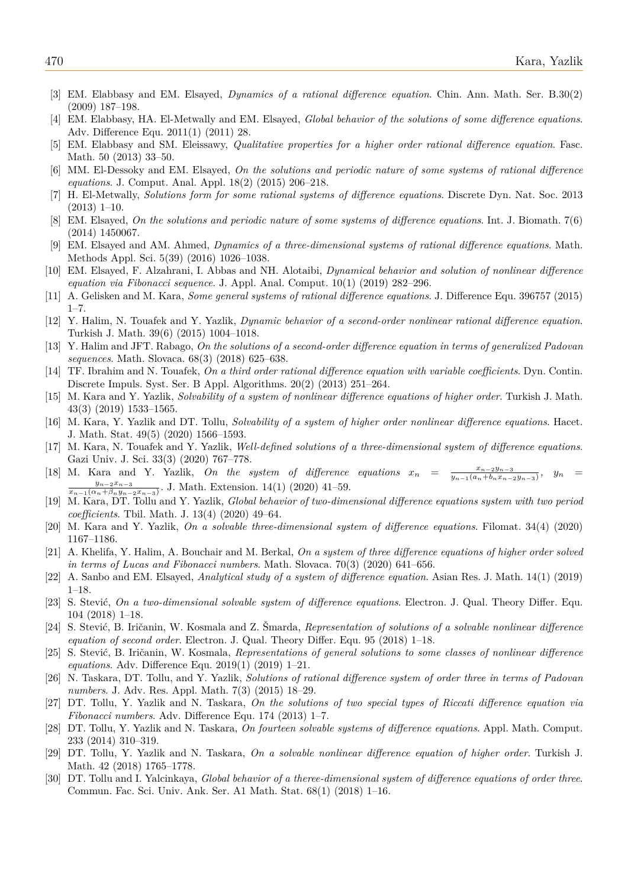- <span id="page-23-9"></span>[3] EM. Elabbasy and EM. Elsayed, *Dynamics of a rational difference equation*. Chin. Ann. Math. Ser. B.30(2) (2009) 187–198.
- <span id="page-23-10"></span>[4] EM. Elabbasy, HA. El-Metwally and EM. Elsayed, *Global behavior of the solutions of some difference equations*. Adv. Difference Equ. 2011(1) (2011) 28.
- [5] EM. Elabbasy and SM. Eleissawy, *Qualitative properties for a higher order rational difference equation*. Fasc. Math. 50 (2013) 33–50.
- <span id="page-23-11"></span>[6] MM. El-Dessoky and EM. Elsayed, *On the solutions and periodic nature of some systems of rational difference equations*. J. Comput. Anal. Appl. 18(2) (2015) 206–218.
- <span id="page-23-12"></span>[7] H. El-Metwally, *Solutions form for some rational systems of difference equations*. Discrete Dyn. Nat. Soc. 2013 (2013) 1–10.
- <span id="page-23-13"></span>[8] EM. Elsayed, *On the solutions and periodic nature of some systems of difference equations*. Int. J. Biomath. 7(6) (2014) 1450067.
- <span id="page-23-14"></span>[9] EM. Elsayed and AM. Ahmed, *Dynamics of a three-dimensional systems of rational difference equations*. Math. Methods Appl. Sci. 5(39) (2016) 1026–1038.
- [10] EM. Elsayed, F. Alzahrani, I. Abbas and NH. Alotaibi, *Dynamical behavior and solution of nonlinear difference equation via Fibonacci sequence*. J. Appl. Anal. Comput. 10(1) (2019) 282–296.
- <span id="page-23-2"></span>[11] A. Gelisken and M. Kara, *Some general systems of rational difference equations*. J. Difference Equ. 396757 (2015) 1–7.
- <span id="page-23-3"></span>[12] Y. Halim, N. Touafek and Y. Yazlik, *Dynamic behavior of a second-order nonlinear rational difference equation*. Turkish J. Math. 39(6) (2015) 1004–1018.
- [13] Y. Halim and JFT. Rabago, *On the solutions of a second-order difference equation in terms of generalized Padovan sequences*. Math. Slovaca. 68(3) (2018) 625–638.
- <span id="page-23-4"></span>[14] TF. Ibrahim and N. Touafek, *On a third order rational difference equation with variable coefficients*. Dyn. Contin. Discrete Impuls. Syst. Ser. B Appl. Algorithms. 20(2) (2013) 251–264.
- <span id="page-23-19"></span>[15] M. Kara and Y. Yazlik, *Solvability of a system of nonlinear difference equations of higher order*. Turkish J. Math. 43(3) (2019) 1533–1565.
- [16] M. Kara, Y. Yazlik and DT. Tollu, *Solvability of a system of higher order nonlinear difference equations*. Hacet. J. Math. Stat. 49(5) (2020) 1566–1593.
- <span id="page-23-5"></span>[17] M. Kara, N. Touafek and Y. Yazlik, *Well-defined solutions of a three-dimensional system of difference equations*. Gazi Univ. J. Sci. 33(3) (2020) 767–778.
- <span id="page-23-6"></span>[18] M. Kara and Y. Yazlik, *On the system of difference equations*  $x_n = \frac{x_{n-2}y_{n-3}}{y_{n-1}(a_n+b_n,x_n)}$  $\frac{x_{n-2}y_{n-3}}{y_{n-1}(a_n+b_nx_{n-2}y_{n-3})}, \quad y_n =$ *yn−*2*xn−*<sup>3</sup>  $\frac{y_{n-2}x_{n-3}}{x_{n-1}(\alpha_n+\beta_n y_{n-2}x_{n-3})}$ . J. Math. Extension. 14(1) (2020) 41–59.
- <span id="page-23-20"></span>[19] M. Kara, DT. Tollu and Y. Yazlik, *Global behavior of two-dimensional difference equations system with two period coefficients*. Tbil. Math. J. 13(4) (2020) 49–64.
- <span id="page-23-7"></span>[20] M. Kara and Y. Yazlik, *On a solvable three-dimensional system of difference equations*. Filomat. 34(4) (2020) 1167–1186.
- [21] A. Khelifa, Y. Halim, A. Bouchair and M. Berkal, *On a system of three difference equations of higher order solved in terms of Lucas and Fibonacci numbers*. Math. Slovaca. 70(3) (2020) 641–656.
- <span id="page-23-15"></span>[22] A. Sanbo and EM. Elsayed, *Analytical study of a system of difference equation*. Asian Res. J. Math. 14(1) (2019) 1–18.
- <span id="page-23-16"></span>[23] S. Stević, *On a two-dimensional solvable system of difference equations*. Electron. J. Qual. Theory Differ. Equ. 104 (2018) 1–18.
- <span id="page-23-17"></span>[24] S. Stević, B. Iričanin, W. Kosmala and Z. Šmarda, *Representation of solutions of a solvable nonlinear difference equation of second order*. Electron. J. Qual. Theory Differ. Equ. 95 (2018) 1–18.
- <span id="page-23-18"></span>[25] S. Stević, B. Iričanin, W. Kosmala, *Representations of general solutions to some classes of nonlinear difference equations*. Adv. Difference Equ. 2019(1) (2019) 1–21.
- [26] N. Taskara, DT. Tollu, and Y. Yazlik, *Solutions of rational difference system of order three in terms of Padovan numbers*. J. Adv. Res. Appl. Math. 7(3) (2015) 18–29.
- <span id="page-23-0"></span>[27] DT. Tollu, Y. Yazlik and N. Taskara, *On the solutions of two special types of Riccati difference equation via Fibonacci numbers*. Adv. Difference Equ. 174 (2013) 1–7.
- <span id="page-23-1"></span>[28] DT. Tollu, Y. Yazlik and N. Taskara, *On fourteen solvable systems of difference equations*. Appl. Math. Comput. 233 (2014) 310–319.
- <span id="page-23-21"></span>[29] DT. Tollu, Y. Yazlik and N. Taskara, *On a solvable nonlinear difference equation of higher order*. Turkish J. Math. 42 (2018) 1765–1778.
- <span id="page-23-8"></span>[30] DT. Tollu and I. Yalcinkaya, *Global behavior of a theree-dimensional system of difference equations of order three*. Commun. Fac. Sci. Univ. Ank. Ser. A1 Math. Stat. 68(1) (2018) 1–16.